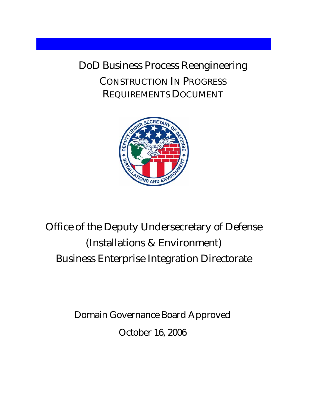DoD Business Process Reengineering CONSTRUCTION IN PROGRESS REQUIREMENTS DOCUMENT



# Office of the Deputy Undersecretary of Defense (Installations & Environment) Business Enterprise Integration Directorate

Domain Governance Board Approved October 16, 2006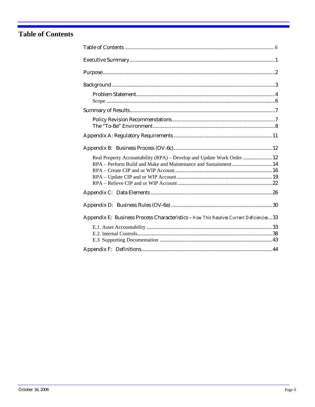## <span id="page-1-0"></span>**Table of Contents**

| Real Property Accountability (RPA) - Develop and Update Work Order 12<br>RPA - Perform Build and Make and Maintenance and Sustainment 14 |
|------------------------------------------------------------------------------------------------------------------------------------------|
|                                                                                                                                          |
|                                                                                                                                          |
| Appendix E: Business Process Characteristics - How This Resolves Current Deficiencies 33                                                 |
|                                                                                                                                          |
|                                                                                                                                          |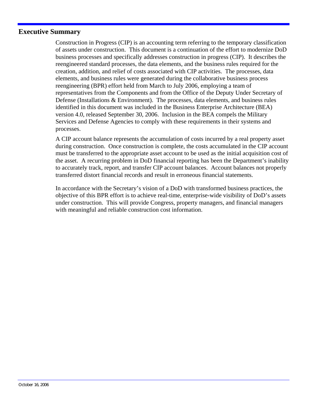#### <span id="page-2-0"></span>**Executive Summary**

Construction in Progress (CIP) is an accounting term referring to the temporary classification of assets under construction. This document is a continuation of the effort to modernize DoD business processes and specifically addresses construction in progress (CIP). It describes the reengineered standard processes, the data elements, and the business rules required for the creation, addition, and relief of costs associated with CIP activities. The processes, data elements, and business rules were generated during the collaborative business process reengineering (BPR) effort held from March to July 2006, employing a team of representatives from the Components and from the Office of the Deputy Under Secretary of Defense (Installations & Environment). The processes, data elements, and business rules identified in this document was included in the Business Enterprise Architecture (BEA) version 4.0, released September 30, 2006. Inclusion in the BEA compels the Military Services and Defense Agencies to comply with these requirements in their systems and processes.

A CIP account balance represents the accumulation of costs incurred by a real property asset during construction. Once construction is complete, the costs accumulated in the CIP account must be transferred to the appropriate asset account to be used as the initial acquisition cost of the asset. A recurring problem in DoD financial reporting has been the Department's inability to accurately track, report, and transfer CIP account balances. Account balances not properly transferred distort financial records and result in erroneous financial statements.

In accordance with the Secretary's vision of a DoD with transformed business practices, the objective of this BPR effort is to achieve real-time, enterprise-wide visibility of DoD's assets under construction. This will provide Congress, property managers, and financial managers with meaningful and reliable construction cost information.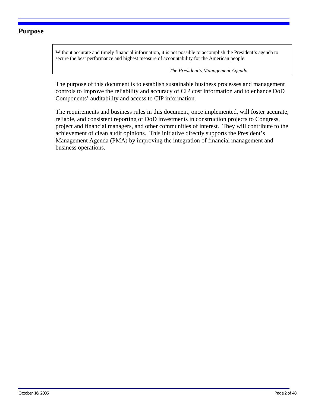#### <span id="page-3-0"></span>**Purpose**

Without accurate and timely financial information, it is not possible to accomplish the President's agenda to secure the best performance and highest measure of accountability for the American people.

 *The President's Management Agenda* 

The purpose of this document is to establish sustainable business processes and management controls to improve the reliability and accuracy of CIP cost information and to enhance DoD Components' auditability and access to CIP information.

The requirements and business rules in this document, once implemented, will foster accurate, reliable, and consistent reporting of DoD investments in construction projects to Congress, project and financial managers, and other communities of interest. They will contribute to the achievement of clean audit opinions. This initiative directly supports the President's Management Agenda (PMA) by improving the integration of financial management and business operations.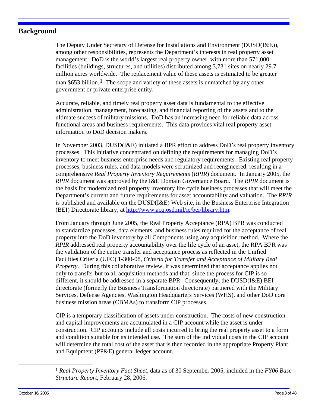#### <span id="page-4-0"></span>**Background**

The Deputy Under Secretary of Defense for Installations and Environment (DUSD(I&E)), among other responsibilities, represents the Department's interests in real property asset management. DoD is the world's largest real property owner, with more than 571,000 facilities (buildings, structures, and utilities) distributed among 3,731 sites on nearly 29.7 million acres worldwide. The replacement value of these assets is estimated to be greater than \$653 billion.<sup>[1](#page-4-1)</sup> The scope and variety of these assets is unmatched by any other government or private enterprise entity.

Accurate, reliable, and timely real property asset data is fundamental to the effective administration, management, forecasting, and financial reporting of the assets and to the ultimate success of military missions. DoD has an increasing need for reliable data across functional areas and business requirements. This data provides vital real property asset information to DoD decision makers.

In November 2003, DUSD(I&E) initiated a BPR effort to address DoD's real property inventory processes. This initiative concentrated on defining the requirements for managing DoD's inventory to meet business enterprise needs and regulatory requirements. Existing real property processes, business rules, and data models were scrutinized and reengineered, resulting in a comprehensive *Real Property Inventory Requirements* (*RPIR*) document. In January 2005, the *RPIR* document was approved by the I&E Domain Governance Board. The *RPIR* document is the basis for modernized real property inventory life cycle business processes that will meet the Department's current and future requirements for asset accountability and valuation. The *RPIR*  is published and available on the DUSD(I&E) Web site, in the Business Enterprise Integration (BEI) Directorate library, at [http://www.acq.osd.mil/ie/bei/library.htm.](http://www.acq.osd.mil/ie/bei/library.htm)

From January through June 2005, the Real Property Acceptance (RPA) BPR was conducted to standardize processes, data elements, and business rules required for the acceptance of real property into the DoD inventory by all Components using any acquisition method. Where the *RPIR* addressed real property accountability over the life cycle of an asset, the RPA BPR was the validation of the entire transfer and acceptance process as reflected in the Unified Facilities Criteria (UFC) 1-300-08, *Criteria for Transfer and Acceptance of Military Real Property*. During this collaborative review, it was determined that acceptance applies not only to transfer but to all acquisition methods and that, since the process for CIP is so different, it should be addressed in a separate BPR. Consequently, the DUSD(I&E) BEI directorate (formerly the Business Transformation directorate) partnered with the Military Services, Defense Agencies, Washington Headquarters Services (WHS), and other DoD core business mission areas (CBMAs) to transform CIP processes.

CIP is a temporary classification of assets under construction. The costs of new construction and capital improvements are accumulated in a CIP account while the asset is under construction. CIP accounts include all costs incurred to bring the real property asset to a form and condition suitable for its intended use. The sum of the individual costs in the CIP account will determine the total cost of the asset that is then recorded in the appropriate Property Plant and Equipment (PP&E) general ledger account.

<span id="page-4-1"></span><sup>1</sup> *Real Property Inventory Fact Sheet*, data as of 30 September 2005, included in the *FY06 Base Structure Report*, February 28, 2006.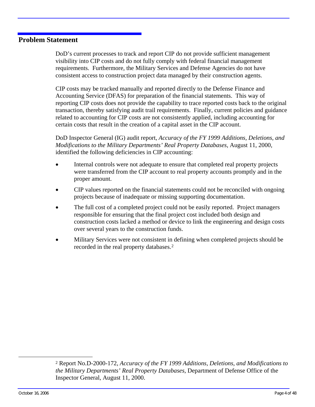#### <span id="page-5-0"></span>**Problem Statement**

DoD's current processes to track and report CIP do not provide sufficient management visibility into CIP costs and do not fully comply with federal financial management requirements. Furthermore, the Military Services and Defense Agencies do not have consistent access to construction project data managed by their construction agents.

CIP costs may be tracked manually and reported directly to the Defense Finance and Accounting Service (DFAS) for preparation of the financial statements. This way of reporting CIP costs does not provide the capability to trace reported costs back to the original transaction, thereby satisfying audit trail requirements. Finally, current policies and guidance related to accounting for CIP costs are not consistently applied, including accounting for certain costs that result in the creation of a capital asset in the CIP account.

DoD Inspector General (IG) audit report, *Accuracy of the FY 1999 Additions, Deletions, and Modifications to the Military Departments' Real Property Databases,* August 11, 2000*,*  identified the following deficiencies in CIP accounting:

- Internal controls were not adequate to ensure that completed real property projects were transferred from the CIP account to real property accounts promptly and in the proper amount.
- CIP values reported on the financial statements could not be reconciled with ongoing projects because of inadequate or missing supporting documentation.
- The full cost of a completed project could not be easily reported. Project managers responsible for ensuring that the final project cost included both design and construction costs lacked a method or device to link the engineering and design costs over several years to the construction funds.
- Military Services were not consistent in defining when completed projects should be recorded in the real property databases.[2](#page-5-1)

<span id="page-5-1"></span><sup>2</sup> Report No.D-2000-172, *Accuracy of the FY 1999 Additions, Deletions, and Modifications to the Military Departments' Real Property Databases*, Department of Defense Office of the Inspector General, August 11, 2000.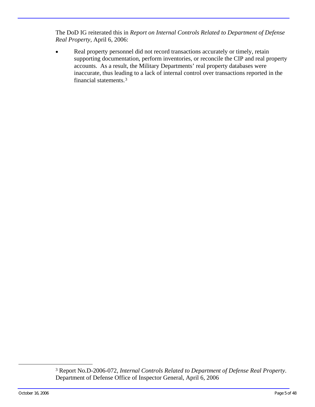The DoD IG reiterated this in *Report on Internal Controls Related to Department of Defense Real Property*, April 6, 2006:

Real property personnel did not record transactions accurately or timely, retain supporting documentation, perform inventories, or reconcile the CIP and real property accounts. As a result, the Military Departments' real property databases were inaccurate, thus leading to a lack of internal control over transactions reported in the financial statements.[3](#page-6-0)

<span id="page-6-0"></span><sup>3</sup> Report No.D-2006-072, *Internal Controls Related to Department of Defense Real Property*. Department of Defense Office of Inspector General, April 6, 2006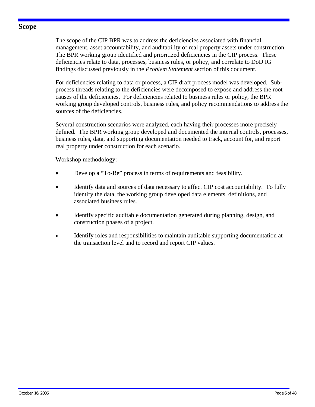#### <span id="page-7-0"></span>**Scope**

The scope of the CIP BPR was to address the deficiencies associated with financial management, asset accountability, and auditability of real property assets under construction. The BPR working group identified and prioritized deficiencies in the CIP process. These deficiencies relate to data, processes, business rules, or policy, and correlate to DoD IG findings discussed previously in the *Problem Statement* section of this document.

For deficiencies relating to data or process, a CIP draft process model was developed. Subprocess threads relating to the deficiencies were decomposed to expose and address the root causes of the deficiencies. For deficiencies related to business rules or policy, the BPR working group developed controls, business rules, and policy recommendations to address the sources of the deficiencies.

Several construction scenarios were analyzed, each having their processes more precisely defined. The BPR working group developed and documented the internal controls, processes, business rules, data, and supporting documentation needed to track, account for, and report real property under construction for each scenario.

Workshop methodology:

- Develop a "To-Be" process in terms of requirements and feasibility.
- Identify data and sources of data necessary to affect CIP cost accountability. To fully identify the data, the working group developed data elements, definitions, and associated business rules.
- Identify specific auditable documentation generated during planning, design, and construction phases of a project.
- Identify roles and responsibilities to maintain auditable supporting documentation at the transaction level and to record and report CIP values.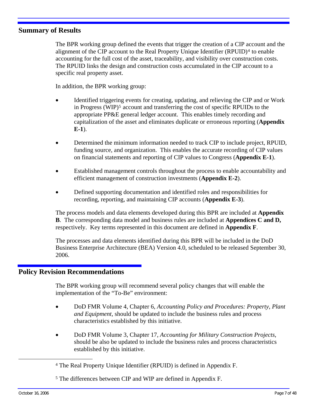#### <span id="page-8-0"></span>**Summary of Results**

The BPR working group defined the events that trigger the creation of a CIP account and the alignment of the CIP account to the Real Property Unique Identifier (RPUID)[4](#page-8-0) to enable accounting for the full cost of the asset, traceability, and visibility over construction costs. The RPUID links the design and construction costs accumulated in the CIP account to a specific real property asset.

In addition, the BPR working group:

- Identified triggering events for creating, updating, and relieving the CIP and or Work in Progress (WIP)<sup>[5](#page-8-0)</sup> account and transferring the cost of specific RPUIDs to the appropriate PP&E general ledger account. This enables timely recording and capitalization of the asset and eliminates duplicate or erroneous reporting (**Appendix E-1**).
- Determined the minimum information needed to track CIP to include project, RPUID, funding source, and organization. This enables the accurate recording of CIP values on financial statements and reporting of CIP values to Congress (**Appendix E-1**).
- Established management controls throughout the process to enable accountability and efficient management of construction investments (**Appendix E-2**).
- Defined supporting documentation and identified roles and responsibilities for recording, reporting, and maintaining CIP accounts (**Appendix E-3**).

The process models and data elements developed during this BPR are included at **Appendix B**. The corresponding data model and business rules are included at **Appendices C and D,**  respectively. Key terms represented in this document are defined in **Appendix F**.

The processes and data elements identified during this BPR will be included in the DoD Business Enterprise Architecture (BEA) Version 4.0, scheduled to be released September 30, 2006.

#### **Policy Revision Recommendations**

The BPR working group will recommend several policy changes that will enable the implementation of the "To-Be" environment:

- DoD FMR Volume 4, Chapter 6, *Accounting Policy and Procedures: Property, Plant and Equipment,* should be updated to include the business rules and process characteristics established by this initiative.
- DoD FMR Volume 3, Chapter 17, *Accounting for Military Construction Projects*, should be also be updated to include the business rules and process characteristics established by this initiative.

<sup>4</sup> The Real Property Unique Identifier (RPUID) is defined in Appendix F.

<sup>5</sup> The differences between CIP and WIP are defined in Appendix F.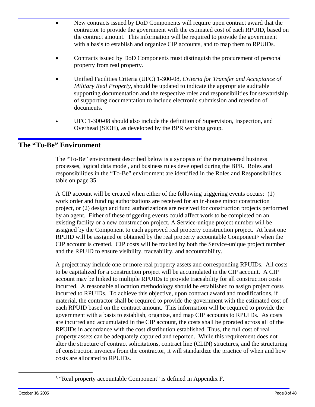- <span id="page-9-0"></span>• New contracts issued by DoD Components will require upon contract award that the contractor to provide the government with the estimated cost of each RPUID, based on the contract amount. This information will be required to provide the government with a basis to establish and organize CIP accounts, and to map them to RPUIDs.
- Contracts issued by DoD Components must distinguish the procurement of personal property from real property.
- Unified Facilities Criteria (UFC) 1-300-08, *Criteria for Transfer and Acceptance of Military Real Property,* should be updated to indicate the appropriate auditable supporting documentation and the respective roles and responsibilities for stewardship of supporting documentation to include electronic submission and retention of documents.
- UFC 1-300-08 should also include the definition of Supervision, Inspection, and Overhead (SIOH), as developed by the BPR working group.

### **The "To-Be" Environment**

The "To-Be" environment described below is a synopsis of the reengineered business processes, logical data model, and business rules developed during the BPR. Roles and responsibilities in the "To-Be" environment are identified in the Roles and Responsibilities table on page 35.

A CIP account will be created when either of the following triggering events occurs: (1) work order and funding authorizations are received for an in-house minor construction project, or (2) design and fund authorizations are received for construction projects performed by an agent. Either of these triggering events could affect work to be completed on an existing facility or a new construction project. A Service-unique project number will be assigned by the Component to each approved real property construction project. At least one RPUID will be assigned or obtained by the real property accountable Component<sup>[6](#page-9-0)</sup> when the CIP account is created. CIP costs will be tracked by both the Service-unique project number and the RPUID to ensure visibility, traceability, and accountability.

A project may include one or more real property assets and corresponding RPUIDs. All costs to be capitalized for a construction project will be accumulated in the CIP account. A CIP account may be linked to multiple RPUIDs to provide traceability for all construction costs incurred. A reasonable allocation methodology should be established to assign project costs incurred to RPUIDs. To achieve this objective, upon contract award and modifications, if material, the contractor shall be required to provide the government with the estimated cost of each RPUID based on the contract amount. This information will be required to provide the government with a basis to establish, organize, and map CIP accounts to RPUIDs. As costs are incurred and accumulated in the CIP account, the costs shall be prorated across all of the RPUIDs in accordance with the cost distribution established. Thus, the full cost of real property assets can be adequately captured and reported. While this requirement does not alter the structure of contract solicitations, contract line (CLIN) structures, and the structuring of construction invoices from the contractor, it will standardize the practice of when and how costs are allocated to RPUIDs.

<sup>6 &</sup>quot;Real property accountable Component" is defined in Appendix F.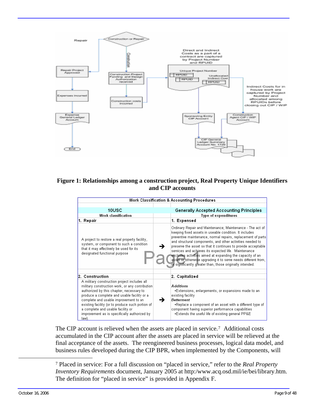<span id="page-10-0"></span>

#### **Figure 1: Relationships among a construction project, Real Property Unique Identifiers and CIP accounts**

|                                                                                                                                                                                                                                                                                                                                                                                       | <b>Work Classification &amp; Accounting Procedures</b>                                                                                                                                                                                                                                                                                                                                                                                                                                                                                                                |  |
|---------------------------------------------------------------------------------------------------------------------------------------------------------------------------------------------------------------------------------------------------------------------------------------------------------------------------------------------------------------------------------------|-----------------------------------------------------------------------------------------------------------------------------------------------------------------------------------------------------------------------------------------------------------------------------------------------------------------------------------------------------------------------------------------------------------------------------------------------------------------------------------------------------------------------------------------------------------------------|--|
| 10USC                                                                                                                                                                                                                                                                                                                                                                                 | <b>Generally Accepted Accounting Principles</b>                                                                                                                                                                                                                                                                                                                                                                                                                                                                                                                       |  |
| Work classification                                                                                                                                                                                                                                                                                                                                                                   | Type of expenditures                                                                                                                                                                                                                                                                                                                                                                                                                                                                                                                                                  |  |
| 1. Repair                                                                                                                                                                                                                                                                                                                                                                             | 1. Expensed                                                                                                                                                                                                                                                                                                                                                                                                                                                                                                                                                           |  |
| A project to restore a real property facility,<br>system, or component to such a condition<br>that it may effectively be used for its<br>designated functional purpose                                                                                                                                                                                                                | Ordinary Repair and Maintenance; Maintenance - The act of<br>keeping fixed assets in useable condition. It includes<br>preventive maintenance, normal repairs, replacement of parts<br>and structural components, and other activities needed to<br>preserve the asset so that it continues to provide acceptable<br>services and achieves its expected life. Maintenance<br>excludes activities aimed at expanding the capacity of an<br>asset or otherwise upgrading it to serve needs different from,<br>or significantly greater than, those originally intended. |  |
| 2. Construction                                                                                                                                                                                                                                                                                                                                                                       | 2. Capitalized                                                                                                                                                                                                                                                                                                                                                                                                                                                                                                                                                        |  |
| A military construction project includes all<br>military construction work, or any contribution<br>authorized by this chapter, necessary to<br>produce a complete and usable facility or a<br>complete and usable improvement to an<br>existing facility (or to produce such portion of<br>a complete and usable facility or<br>improvement as is specifically authorized by<br>law). | <b>Additions</b><br>-Extensions, enlargements, or expansions made to an<br>existing facility<br><b>Betterment</b><br>-Replace a component of an asset with a different type of<br>component having superior performance capabilities<br>-Extends the useful life of existing general PP&E                                                                                                                                                                                                                                                                             |  |

The CIP account is relieved when the assets are placed in service.[7](#page-10-0) Additional costs accumulated in the CIP account after the assets are placed in service will be relieved at the final acceptance of the assets. The reengineered business processes, logical data model, and business rules developed during the CIP BPR, when implemented by the Components, will

<sup>7</sup> Placed in service: For a full discussion on "placed in service," refer to the *Real Property Inventory Requirements* document, January 2005 at http:/www.acq.osd.mil/ie/bei/library.htm. The definition for "placed in service" is provided in Appendix F.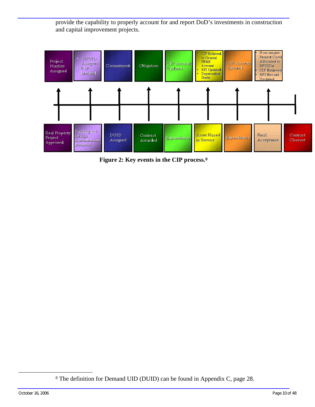<span id="page-11-0"></span>provide the capability to properly account for and report DoD's investments in construction and capital improvement projects.



**Figure 2: Key events in the CIP process.[8](#page-11-0)**

-

<sup>8</sup> The definition for Demand UID (DUID) can be found in Appendix C, page 28.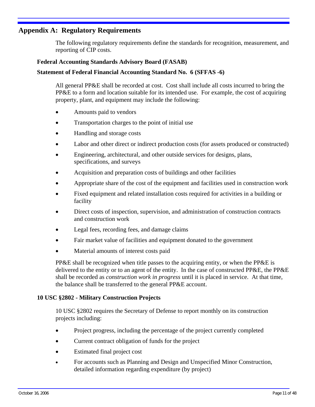#### <span id="page-12-0"></span>**Appendix A: Regulatory Requirements**

The following regulatory requirements define the standards for recognition, measurement, and reporting of CIP costs.

#### **Federal Accounting Standards Advisory Board (FASAB)**

#### **Statement of Federal Financial Accounting Standard No. 6 (SFFAS -6)**

All general PP&E shall be recorded at cost. Cost shall include all costs incurred to bring the PP&E to a form and location suitable for its intended use. For example, the cost of acquiring property, plant, and equipment may include the following:

- Amounts paid to vendors
- Transportation charges to the point of initial use
- Handling and storage costs
- Labor and other direct or indirect production costs (for assets produced or constructed)
- Engineering, architectural, and other outside services for designs, plans, specifications, and surveys
- Acquisition and preparation costs of buildings and other facilities
- Appropriate share of the cost of the equipment and facilities used in construction work
- Fixed equipment and related installation costs required for activities in a building or facility
- Direct costs of inspection, supervision, and administration of construction contracts and construction work
- Legal fees, recording fees, and damage claims
- Fair market value of facilities and equipment donated to the government
- Material amounts of interest costs paid

PP&E shall be recognized when title passes to the acquiring entity, or when the PP&E is delivered to the entity or to an agent of the entity. In the case of constructed PP&E, the PP&E shall be recorded as *construction work in progress* until it is placed in service. At that time, the balance shall be transferred to the general PP&E account.

#### **10 USC §2802 - Military Construction Projects**

10 USC §2802 requires the Secretary of Defense to report monthly on its construction projects including:

- Project progress, including the percentage of the project currently completed
- Current contract obligation of funds for the project
- Estimated final project cost
- For accounts such as Planning and Design and Unspecified Minor Construction, detailed information regarding expenditure (by project)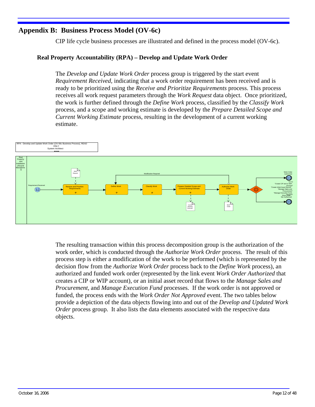## <span id="page-13-0"></span>**Appendix B: Business Process Model (OV-6c)**

CIP life cycle business processes are illustrated and defined in the process model (OV-6c).

#### **Real Property Accountability (RPA) – Develop and Update Work Order**

The *Develop and Update Work Order* process group is triggered by the start event *Requirement Received,* indicating that a work order requirement has been received and is ready to be prioritized using the *Receive and Prioritize Requirements* process. This process receives all work request parameters through the *Work Request* data object. Once prioritized, the work is further defined through the *Define Work* process, classified by the *Classify Work* process, and a scope and working estimate is developed by the *Prepare Detailed Scope and Current Working Estimate* process, resulting in the development of a current working estimate.



The resulting transaction within this process decomposition group is the authorization of the work order, which is conducted through the *Authorize Work Order* process. The result of this process step is either a modification of the work to be performed (which is represented by the decision flow from the *Authorize Work Order* process back to the *Define Work* process), an authorized and funded work order (represented by the link event *Work Order Authorized* that creates a CIP or WIP account), or an initial asset record that flows to the *Manage Sales and Procurement,* and *Manage Execution Fund* processes. If the work order is not approved or funded, the process ends with the *Work Order Not Approved* event. The two tables below provide a depiction of the data objects flowing into and out of the *Develop and Updated Work Order* process group. It also lists the data elements associated with the respective data objects.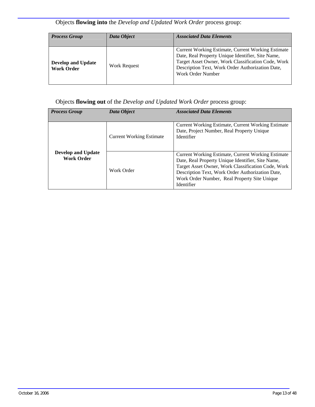## Objects **flowing into** the *Develop and Updated Work Order* process group:

| <b>Process Group</b>                           | Data Object  | <b>Associated Data Elements</b>                                                                                                                                                                                                               |
|------------------------------------------------|--------------|-----------------------------------------------------------------------------------------------------------------------------------------------------------------------------------------------------------------------------------------------|
| <b>Develop and Update</b><br><b>Work Order</b> | Work Request | <b>Current Working Estimate, Current Working Estimate</b><br>Date, Real Property Unique Identifier, Site Name,<br>Target Asset Owner, Work Classification Code, Work<br>Description Text, Work Order Authorization Date,<br>Work Order Number |

#### Objects **flowing out** of the *Develop and Updated Work Order* process group:

| <b>Process Group</b>                           | Data Object                     | <b>Associated Data Elements</b>                                                                                                                                                                                                                                                        |
|------------------------------------------------|---------------------------------|----------------------------------------------------------------------------------------------------------------------------------------------------------------------------------------------------------------------------------------------------------------------------------------|
|                                                |                                 |                                                                                                                                                                                                                                                                                        |
|                                                | <b>Current Working Estimate</b> | <b>Current Working Estimate, Current Working Estimate</b><br>Date, Project Number, Real Property Unique<br><b>Identifier</b>                                                                                                                                                           |
| <b>Develop and Update</b><br><b>Work Order</b> | Work Order                      | <b>Current Working Estimate, Current Working Estimate</b><br>Date, Real Property Unique Identifier, Site Name,<br>Target Asset Owner, Work Classification Code, Work<br>Description Text, Work Order Authorization Date,<br>Work Order Number, Real Property Site Unique<br>Identifier |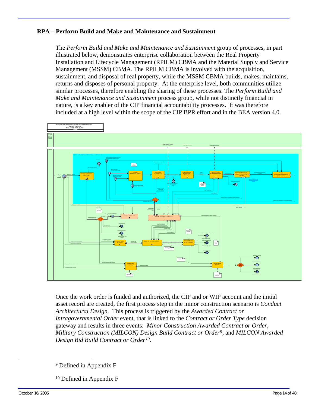#### <span id="page-15-0"></span>**RPA – Perform Build and Make and Maintenance and Sustainment**

The *Perform Build and Make and Maintenance and Sustainment* group of processes, in part illustrated below, demonstrates enterprise collaboration between the Real Property Installation and Lifecycle Management (RPILM) CBMA and the Material Supply and Service Management (MSSM) CBMA. The RPILM CBMA is involved with the acquisition, sustainment, and disposal of real property, while the MSSM CBMA builds, makes, maintains, returns and disposes of personal property. At the enterprise level, both communities utilize similar processes, therefore enabling the sharing of these processes. The *Perform Build and Make and Maintenance and Sustainment* process group, while not distinctly financial in nature, is a key enabler of the CIP financial accountability processes. It was therefore included at a high level within the scope of the CIP BPR effort and in the BEA version 4.0.



Once the work order is funded and authorized, the CIP and or WIP account and the initial asset record are created, the first process step in the minor construction scenario is *Conduct Architectural Design.* This process is triggered by the *Awarded Contract or Intragovernmental Order* event, that is linked to the *Contract or Order Type* decision gateway and results in three events: *Minor Construction Awarded Contract or Order*, *Military Construction (MILCON) Design Build Contract or Order[9](#page-15-0),* and *MILCON Awarded Design Bid Build Contract or Order[10](#page-15-0).* 

10 Defined in Appendix F

<sup>9</sup> Defined in Appendix F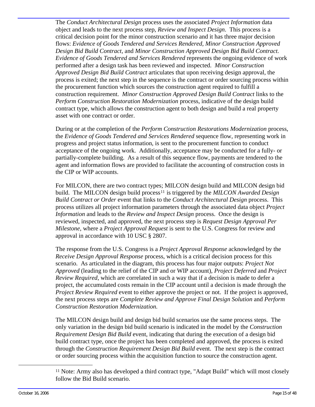<span id="page-16-0"></span>The *Conduct Architectural Design* process uses the associated *Project Information* data object and leads to the next process step, *Review and Inspect Design*. This process is a critical decision point for the minor construction scenario and it has three major decision flows: *Evidence of Goods Tendered and Services Rendered, Minor Construction Approved Design Bid Build Contract,* and *Minor Construction Approved Design Bid Build Contract. Evidence of Goods Tendered and Services Rendered* represents the ongoing evidence of work performed after a design task has been reviewed and inspected. *Minor Construction Approved Design Bid Build Contract* articulates that upon receiving design approval, the process is exited; the next step in the sequence is the contract or order sourcing process within the procurement function which sources the construction agent required to fulfill a construction requirement. *Minor Construction Approved Design Build Contract* links to the *Perform Construction Restoration Modernization* process, indicative of the design build contract type, which allows the construction agent to both design and build a real property asset with one contract or order.

During or at the completion of the *Perform Construction Restorations Modernization* process, the *Evidence of Goods Tendered and Services Rendered* sequence flow, representing work in progress and project status information, is sent to the procurement function to conduct acceptance of the ongoing work. Additionally, acceptance may be conducted for a fully- or partially-complete building. As a result of this sequence flow, payments are tendered to the agent and information flows are provided to facilitate the accounting of construction costs in the CIP or WIP accounts.

For MILCON, there are two contract types; MILCON design build and MILCON design bid build. The MILCON design build process[11](#page-16-0) is triggered by the *MILCON Awarded Design Build Contract or Order* event that links to the *Conduct Architectural Design* process. This process utilizes all project information parameters through the associated data object *Project Information* and leads to the *Review and Inspect Design* process. Once the design is reviewed, inspected, and approved, the next process step is *Request Design Approval Per Milestone*, where a *Project Approval Request* is sent to the U.S. Congress for review and approval in accordance with 10 USC § 2807.

The response from the U.S. Congress is a *Project Approval Response* acknowledged by the *Receive Design Approval Response* process, which is a critical decision process for this scenario. As articulated in the diagram, this process has four major outputs: *Project Not Approved* (leading to the relief of the CIP and or WIP account), *Project Deferred* and *Project Review Required*, which are correlated in such a way that if a decision is made to defer a project, the accumulated costs remain in the CIP account until a decision is made through the *Project Review Required* event to either approve the project or not. If the project is approved, the next process steps are *Complete Review and Approve Final Design Solution* and *Perform Construction Restoration Modernization.*

The MILCON design build and design bid build scenarios use the same process steps. The only variation in the design bid build scenario is indicated in the model by the *Construction Requirement Design Bid Build* event, indicating that during the execution of a design bid build contract type, once the project has been completed and approved, the process is exited through the *Construction Requirement Design Bid Build* event. The next step is the contract or order sourcing process within the acquisition function to source the construction agent.

<sup>11</sup> Note: Army also has developed a third contract type, "Adapt Build" which will most closely follow the Bid Build scenario.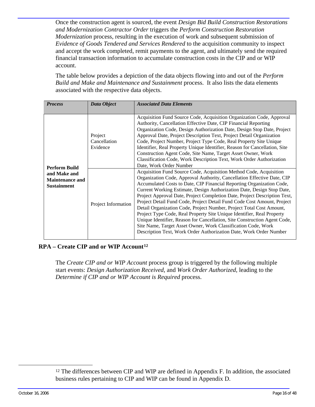<span id="page-17-0"></span>Once the construction agent is sourced, the event *Design Bid Build Construction Restorations and Modernization Contractor Order* triggers the *Perform Construction Restoration Modernization* process, resulting in the execution of work and subsequent submission of *Evidence of Goods Tendered and Services Rendered* to the acquisition community to inspect and accept the work completed, remit payments to the agent, and ultimately send the required financial transaction information to accumulate construction costs in the CIP and or WIP account.

The table below provides a depiction of the data objects flowing into and out of the *Perform Build and Make and Maintenance and Sustainment* process. It also lists the data elements associated with the respective data objects.

| <b>Process</b>                                               | Data Object                                                                                                                                                                                                                                                                                                                                                                                                                                                                                                                                                                                                        | <b>Associated Data Elements</b>                                                                                                                                                                                                                                                                                                                                                                                                                                                                                                                                                                                                                                                                                                                                                                                                |  |  |
|--------------------------------------------------------------|--------------------------------------------------------------------------------------------------------------------------------------------------------------------------------------------------------------------------------------------------------------------------------------------------------------------------------------------------------------------------------------------------------------------------------------------------------------------------------------------------------------------------------------------------------------------------------------------------------------------|--------------------------------------------------------------------------------------------------------------------------------------------------------------------------------------------------------------------------------------------------------------------------------------------------------------------------------------------------------------------------------------------------------------------------------------------------------------------------------------------------------------------------------------------------------------------------------------------------------------------------------------------------------------------------------------------------------------------------------------------------------------------------------------------------------------------------------|--|--|
| Project<br>Cancellation<br>Evidence<br><b>Perform Build</b>  | Acquisition Fund Source Code, Acquisition Organization Code, Approval<br>Authority, Cancellation Effective Date, CIP Financial Reporting<br>Organization Code, Design Authorization Date, Design Stop Date, Project<br>Approval Date, Project Description Text, Project Detail Organization<br>Code, Project Number, Project Type Code, Real Property Site Unique<br>Identifier, Real Property Unique Identifier, Reason for Cancellation, Site<br>Construction Agent Code, Site Name, Target Asset Owner, Work<br>Classification Code, Work Description Text, Work Order Authorization<br>Date, Work Order Number |                                                                                                                                                                                                                                                                                                                                                                                                                                                                                                                                                                                                                                                                                                                                                                                                                                |  |  |
| and Make and<br><b>Maintenance and</b><br><b>Sustainment</b> | Project Information                                                                                                                                                                                                                                                                                                                                                                                                                                                                                                                                                                                                | Acquisition Fund Source Code, Acquisition Method Code, Acquisition<br>Organization Code, Approval Authority, Cancellation Effective Date, CIP<br>Accumulated Costs to Date, CIP Financial Reporting Organization Code,<br>Current Working Estimate, Design Authorization Date, Design Stop Date,<br>Project Approval Date, Project Completion Date, Project Description Text,<br>Project Detail Fund Code, Project Detail Fund Code Cost Amount, Project<br>Detail Organization Code, Project Number, Project Total Cost Amount,<br>Project Type Code, Real Property Site Unique Identifier, Real Property<br>Unique Identifier, Reason for Cancellation, Site Construction Agent Code,<br>Site Name, Target Asset Owner, Work Classification Code, Work<br>Description Text, Work Order Authorization Date, Work Order Number |  |  |

#### **RPA – Create CIP and or WIP Account[12](#page-17-0)**

The *Create CIP and or WIP Account* process group is triggered by the following multiple start events: *Design Authorization Received*, and *Work Order Authorized*, leading to the *Determine if CIP and or WIP Account is Required* process.

<sup>&</sup>lt;sup>12</sup> The differences between CIP and WIP are defined in Appendix F. In addition, the associated business rules pertaining to CIP and WIP can be found in Appendix D.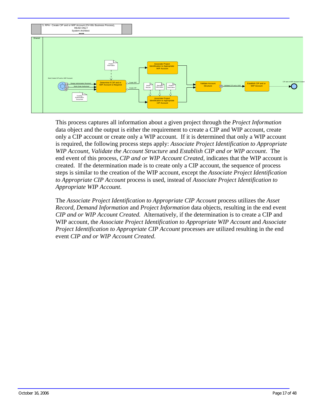

This process captures all information about a given project through the *Project Information* data object and the output is either the requirement to create a CIP and WIP account, create only a CIP account or create only a WIP account. If it is determined that only a WIP account is required, the following process steps apply: *Associate Project Identification to Appropriate WIP Account*, *Validate the Account Structure* and *Establish CIP and or WIP account*. The end event of this process, *CIP and or WIP Account Created*, indicates that the WIP account is created. If the determination made is to create only a CIP account, the sequence of process steps is similar to the creation of the WIP account, except the *Associate Project Identification to Appropriate CIP Account* process is used, instead of *Associate Project Identification to Appropriate WIP Account*.

The *Associate Project Identification to Appropriate CIP Account* process utilizes the *Asset Record*, *Demand Information* and *Project Information* data objects, resulting in the end event *CIP and or WIP Account Created.* Alternatively, if the determination is to create a CIP and WIP account, the *Associate Project Identification to Appropriate WIP Account* and *Associate Project Identification to Appropriate CIP Account* processes are utilized resulting in the end event *CIP and or WIP Account Created*.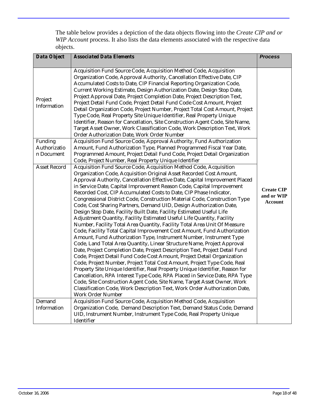The table below provides a depiction of the data objects flowing into the *Create CIP and or WIP Account* process. It also lists the data elements associated with the respective data objects.

| <b>Associated Data Elements</b>                                                                                                                                                                                                                                                                                                                                                                                                                                                                                                                                                                                                                                                                                                                                                                                                                                                                                                                                                                                                                                                                                                                                                                                                                                                                                                                                                                                                                                                                                                                                                                                                                                                                                                      | <b>Process</b>                                                                                                                                                                           |
|--------------------------------------------------------------------------------------------------------------------------------------------------------------------------------------------------------------------------------------------------------------------------------------------------------------------------------------------------------------------------------------------------------------------------------------------------------------------------------------------------------------------------------------------------------------------------------------------------------------------------------------------------------------------------------------------------------------------------------------------------------------------------------------------------------------------------------------------------------------------------------------------------------------------------------------------------------------------------------------------------------------------------------------------------------------------------------------------------------------------------------------------------------------------------------------------------------------------------------------------------------------------------------------------------------------------------------------------------------------------------------------------------------------------------------------------------------------------------------------------------------------------------------------------------------------------------------------------------------------------------------------------------------------------------------------------------------------------------------------|------------------------------------------------------------------------------------------------------------------------------------------------------------------------------------------|
| Acquisition Fund Source Code, Acquisition Method Code, Acquisition<br>Organization Code, Approval Authority, Cancellation Effective Date, CIP<br>Accumulated Costs to Date, CIP Financial Reporting Organization Code,<br>Current Working Estimate, Design Authorization Date, Design Stop Date,<br>Project Approval Date, Project Completion Date, Project Description Text,<br>Project Detail Fund Code, Project Detail Fund Code Cost Amount, Project<br>Detail Organization Code, Project Number, Project Total Cost Amount, Project<br>Type Code, Real Property Site Unique Identifier, Real Property Unique<br>Identifier, Reason for Cancellation, Site Construction Agent Code, Site Name,<br>Target Asset Owner, Work Classification Code, Work Description Text, Work                                                                                                                                                                                                                                                                                                                                                                                                                                                                                                                                                                                                                                                                                                                                                                                                                                                                                                                                                      |                                                                                                                                                                                          |
| Acquisition Fund Source Code, Approval Authority, Fund Authorization                                                                                                                                                                                                                                                                                                                                                                                                                                                                                                                                                                                                                                                                                                                                                                                                                                                                                                                                                                                                                                                                                                                                                                                                                                                                                                                                                                                                                                                                                                                                                                                                                                                                 |                                                                                                                                                                                          |
| Amount, Fund Authorization Type, Planned Programmed Fiscal Year Date,                                                                                                                                                                                                                                                                                                                                                                                                                                                                                                                                                                                                                                                                                                                                                                                                                                                                                                                                                                                                                                                                                                                                                                                                                                                                                                                                                                                                                                                                                                                                                                                                                                                                |                                                                                                                                                                                          |
| Programmed Amount, Project Detail Fund Code, Project Detail Organization                                                                                                                                                                                                                                                                                                                                                                                                                                                                                                                                                                                                                                                                                                                                                                                                                                                                                                                                                                                                                                                                                                                                                                                                                                                                                                                                                                                                                                                                                                                                                                                                                                                             |                                                                                                                                                                                          |
| Acquisition Fund Source Code, Acquisition Method Code, Acquisition<br>Organization Code, Acquisition Original Asset Recorded Cost Amount,<br>Approval Authority, Cancellation Effective Date, Capital Improvement Placed<br>in Service Date, Capital Improvement Reason Code, Capital Improvement<br>Recorded Cost, CIP Accumulated Costs to Date, CIP Phase Indicator,<br>Congressional District Code, Construction Material Code, Construction Type<br>Code, Cost Sharing Partners, Demand UID, Design Authorization Date,<br>Design Stop Date, Facility Built Date, Facility Estimated Useful Life<br>Adjustment Quantity, Facility Estimated Useful Life Quantity, Facility<br>Number, Facility Total Area Quantity, Facility Total Area Unit Of Measure<br>Code, Facility Total Capital Improvement Cost Amount, Fund Authorization<br>Amount, Fund Authorization Type, Instrument Number, Instrument Type<br>Code, Land Total Area Quantity, Linear Structure Name, Project Approval<br>Date, Project Completion Date, Project Description Text, Project Detail Fund<br>Code, Project Detail Fund Code Cost Amount, Project Detail Organization<br>Code, Project Number, Project Total Cost Amount, Project Type Code, Real<br>Property Site Unique Identifier, Real Property Unique Identifier, Reason for<br>Cancellation, RPA Interest Type Code, RPA Placed in Service Date, RPA Type<br>Code, Site Construction Agent Code, Site Name, Target Asset Owner, Work<br>Classification Code, Work Description Text, Work Order Authorization Date,<br><b>Work Order Number</b><br>Acquisition Fund Source Code, Acquisition Method Code, Acquisition<br>Organization Code, Demand Description Text, Demand Status Code, Demand | <b>Create CIP</b><br>and or WIP<br><b>Account</b>                                                                                                                                        |
|                                                                                                                                                                                                                                                                                                                                                                                                                                                                                                                                                                                                                                                                                                                                                                                                                                                                                                                                                                                                                                                                                                                                                                                                                                                                                                                                                                                                                                                                                                                                                                                                                                                                                                                                      | Order Authorization Date, Work Order Number<br>Code, Project Number, Real Property Unique Identifier<br>UID, Instrument Number, Instrument Type Code, Real Property Unique<br>Identifier |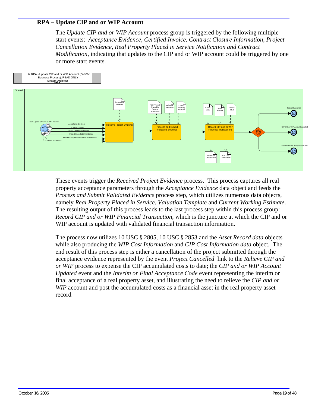#### <span id="page-20-0"></span>**RPA – Update CIP and or WIP Account**

The *Update CIP and or WIP Account* process group is triggered by the following multiple start events: *Acceptance Evidence, Certified Invoice, Contract Closure Information, Project Cancellation Evidence, Real Property Placed in Service Notification and Contract Modification,* indicating that updates to the CIP and or WIP account could be triggered by one or more start events.



These events trigger the *Received Project Evidence* process. This process captures all real property acceptance parameters through the *Acceptance Evidence* data object and feeds the *Process and Submit Validated Evidence* process step, which utilizes numerous data objects, namely *Real Property Placed in Service, Valuation Template* and *Current Working Estimate*. The resulting output of this process leads to the last process step within this process group: *Record CIP and or WIP Financial Transaction,* which is the juncture at which the CIP and or WIP account is updated with validated financial transaction information.

The process now utilizes 10 USC § 2805, 10 USC § 2853 and the *Asset Record data* objects while also producing the *WIP Cost Information* and *CIP Cost Information data* object. The end result of this process step is either a cancellation of the project submitted through the acceptance evidence represented by the event *Project Cancelled* link to the *Relieve CIP and or WIP* process to expense the CIP accumulated costs to date; the *CIP and or WIP Account Updated* event and the *Interim or Final Acceptance Code* event representing the interim or final acceptance of a real property asset, and illustrating the need to relieve the *CIP and or WIP* account and post the accumulated costs as a financial asset in the real property asset record.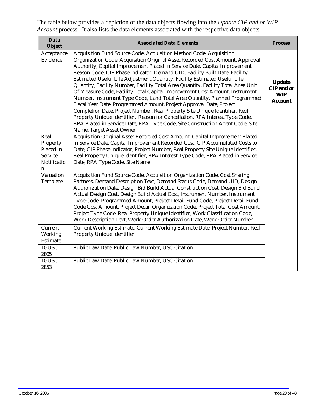The table below provides a depiction of the data objects flowing into the *Update CIP and or WIP Account* process. It also lists the data elements associated with the respective data objects.

| Data<br><b>Object</b>                                               | <b>Associated Data Elements</b>                                                                                                                                                                                                                                                                                                                                                                                                                                                                                                                                                                                                                                                                                                                                                                                                                                                                                                                                                                   | <b>Process</b>                                                     |
|---------------------------------------------------------------------|---------------------------------------------------------------------------------------------------------------------------------------------------------------------------------------------------------------------------------------------------------------------------------------------------------------------------------------------------------------------------------------------------------------------------------------------------------------------------------------------------------------------------------------------------------------------------------------------------------------------------------------------------------------------------------------------------------------------------------------------------------------------------------------------------------------------------------------------------------------------------------------------------------------------------------------------------------------------------------------------------|--------------------------------------------------------------------|
| Acceptance<br>Evidence                                              | Acquisition Fund Source Code, Acquisition Method Code, Acquisition<br>Organization Code, Acquisition Original Asset Recorded Cost Amount, Approval<br>Authority, Capital Improvement Placed in Service Date, Capital Improvement<br>Reason Code, CIP Phase Indicator, Demand UID, Facility Built Date, Facility<br>Estimated Useful Life Adjustment Quantity, Facility Estimated Useful Life<br>Quantity, Facility Number, Facility Total Area Quantity, Facility Total Area Unit<br>Of Measure Code, Facility Total Capital Improvement Cost Amount, Instrument<br>Number, Instrument Type Code, Land Total Area Quantity, Planned Programmed<br>Fiscal Year Date, Programmed Amount, Project Approval Date, Project<br>Completion Date, Project Number, Real Property Site Unique Identifier, Real<br>Property Unique Identifier, Reason for Cancellation, RPA Interest Type Code,<br>RPA Placed in Service Date, RPA Type Code, Site Construction Agent Code, Site<br>Name, Target Asset Owner | <b>Update</b><br><b>CIP</b> and or<br><b>WIP</b><br><b>Account</b> |
| Real<br>Property<br>Placed in<br><b>Service</b><br>Notificatio<br>n | Acquisition Original Asset Recorded Cost Amount, Capital Improvement Placed<br>in Service Date, Capital Improvement Recorded Cost, CIP Accumulated Costs to<br>Date, CIP Phase Indicator, Project Number, Real Property Site Unique Identifier,<br>Real Property Unique Identifier, RPA Interest Type Code, RPA Placed in Service<br>Date, RPA Type Code, Site Name                                                                                                                                                                                                                                                                                                                                                                                                                                                                                                                                                                                                                               |                                                                    |
| Valuation<br>Template                                               | Acquisition Fund Source Code, Acquisition Organization Code, Cost Sharing<br>Partners, Demand Description Text, Demand Status Code, Demand UID, Design<br>Authorization Date, Design Bid Build Actual Construction Cost, Design Bid Build<br>Actual Design Cost, Design Build Actual Cost, Instrument Number, Instrument<br>Type Code, Programmed Amount, Project Detail Fund Code, Project Detail Fund<br>Code Cost Amount, Project Detail Organization Code, Project Total Cost Amount,<br>Project Type Code, Real Property Unique Identifier, Work Classification Code,<br>Work Description Text, Work Order Authorization Date, Work Order Number                                                                                                                                                                                                                                                                                                                                             |                                                                    |
| Current<br>Working<br>Estimate                                      | Current Working Estimate, Current Working Estimate Date, Project Number, Real<br><b>Property Unique Identifier</b>                                                                                                                                                                                                                                                                                                                                                                                                                                                                                                                                                                                                                                                                                                                                                                                                                                                                                |                                                                    |
| <b>10 USC</b><br>2805                                               | Public Law Date, Public Law Number, USC Citation                                                                                                                                                                                                                                                                                                                                                                                                                                                                                                                                                                                                                                                                                                                                                                                                                                                                                                                                                  |                                                                    |
| <b>10 USC</b><br>2853                                               | Public Law Date, Public Law Number, USC Citation                                                                                                                                                                                                                                                                                                                                                                                                                                                                                                                                                                                                                                                                                                                                                                                                                                                                                                                                                  |                                                                    |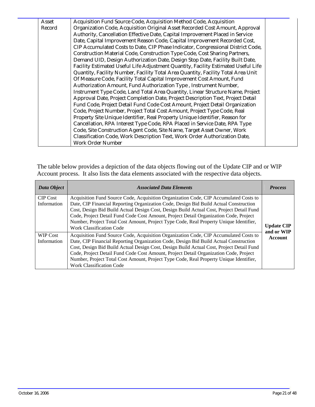| Asset  | Acquisition Fund Source Code, Acquisition Method Code, Acquisition                 |  |
|--------|------------------------------------------------------------------------------------|--|
| Record | Organization Code, Acquisition Original Asset Recorded Cost Amount, Approval       |  |
|        | Authority, Cancellation Effective Date, Capital Improvement Placed in Service      |  |
|        | Date, Capital Improvement Reason Code, Capital Improvement Recorded Cost,          |  |
|        | CIP Accumulated Costs to Date, CIP Phase Indicator, Congressional District Code,   |  |
|        | Construction Material Code, Construction Type Code, Cost Sharing Partners,         |  |
|        | Demand UID, Design Authorization Date, Design Stop Date, Facility Built Date,      |  |
|        | Facility Estimated Useful Life Adjustment Quantity, Facility Estimated Useful Life |  |
|        | Quantity, Facility Number, Facility Total Area Quantity, Facility Total Area Unit  |  |
|        | Of Measure Code, Facility Total Capital Improvement Cost Amount, Fund              |  |
|        | Authorization Amount, Fund Authorization Type, Instrument Number,                  |  |
|        | Instrument Type Code, Land Total Area Quantity, Linear Structure Name, Project     |  |
|        | Approval Date, Project Completion Date, Project Description Text, Project Detail   |  |
|        | Fund Code, Project Detail Fund Code Cost Amount, Project Detail Organization       |  |
|        | Code, Project Number, Project Total Cost Amount, Project Type Code, Real           |  |
|        | Property Site Unique Identifier, Real Property Unique Identifier, Reason for       |  |
|        | Cancellation, RPA Interest Type Code, RPA Placed in Service Date, RPA Type         |  |
|        | Code, Site Construction Agent Code, Site Name, Target Asset Owner, Work            |  |
|        | Classification Code, Work Description Text, Work Order Authorization Date,         |  |
|        | <b>Work Order Number</b>                                                           |  |

The table below provides a depiction of the data objects flowing out of the Update CIP and or WIP Account process. It also lists the data elements associated with the respective data objects.

| Data Object                    | <b>Associated Data Elements</b>                                                                                                                                                                                                                                                                                                                                                                                                                                                                  | <b>Process</b>                  |
|--------------------------------|--------------------------------------------------------------------------------------------------------------------------------------------------------------------------------------------------------------------------------------------------------------------------------------------------------------------------------------------------------------------------------------------------------------------------------------------------------------------------------------------------|---------------------------------|
| <b>CIP</b> Cost<br>Information | Acquisition Fund Source Code, Acquisition Organization Code, CIP Accumulated Costs to<br>Date, CIP Financial Reporting Organization Code, Design Bid Build Actual Construction<br>Cost, Design Bid Build Actual Design Cost, Design Build Actual Cost, Project Detail Fund<br>Code, Project Detail Fund Code Cost Amount, Project Detail Organization Code, Project<br>Number, Project Total Cost Amount, Project Type Code, Real Property Unique Identifier,<br><b>Work Classification Code</b> | <b>Update CIP</b><br>and or WIP |
| WIP Cost<br>Information        | Acquisition Fund Source Code, Acquisition Organization Code, CIP Accumulated Costs to<br>Date, CIP Financial Reporting Organization Code, Design Bid Build Actual Construction<br>Cost, Design Bid Build Actual Design Cost, Design Build Actual Cost, Project Detail Fund<br>Code, Project Detail Fund Code Cost Amount, Project Detail Organization Code, Project<br>Number, Project Total Cost Amount, Project Type Code, Real Property Unique Identifier,<br><b>Work Classification Code</b> | Account                         |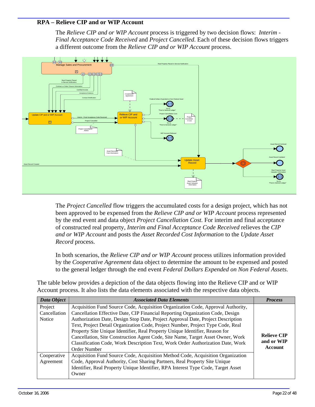#### <span id="page-23-0"></span>**RPA – Relieve CIP and or WIP Account**

The *Relieve CIP and or WIP Account* process is triggered by two decision flows: *Interim - Final Acceptance Code Received* and *Project Cancelled*. Each of these decision flows triggers a different outcome from the *Relieve CIP and or WIP Account* process.



The *Project Cancelled* flow triggers the accumulated costs for a design project, which has not been approved to be expensed from the *Relieve CIP and or WIP Account* process represented by the end event and data object *Project Cancellation Cost.* For interim and final acceptance of constructed real property, *Interim and Final Acceptance Code Received* relieves the *CIP and or WIP Account* and posts the *Asset Recorded Cost Information* to the *Update Asset Record* process.

In both scenarios, the *Relieve CIP and or WIP Account* process utilizes information provided by the *Cooperative Agreement* data object to determine the amount to be expensed and posted to the general ledger through the end event *Federal Dollars Expended on Non Federal Assets.* 

The table below provides a depiction of the data objects flowing into the Relieve CIP and or WIP Account process. It also lists the data elements associated with the respective data objects.

| Data Object                       | <b>Associated Data Elements</b>                                                                                                                                                                                                                                                                                                                                                                                                                                                                                                                                                                                 | <b>Process</b>                                     |
|-----------------------------------|-----------------------------------------------------------------------------------------------------------------------------------------------------------------------------------------------------------------------------------------------------------------------------------------------------------------------------------------------------------------------------------------------------------------------------------------------------------------------------------------------------------------------------------------------------------------------------------------------------------------|----------------------------------------------------|
| Project<br>Cancellation<br>Notice | Acquisition Fund Source Code, Acquisition Organization Code, Approval Authority,<br>Cancellation Effective Date, CIP Financial Reporting Organization Code, Design<br>Authorization Date, Design Stop Date, Project Approval Date, Project Description<br>Text, Project Detail Organization Code, Project Number, Project Type Code, Real<br>Property Site Unique Identifier, Real Property Unique Identifier, Reason for<br>Cancellation, Site Construction Agent Code, Site Name, Target Asset Owner, Work<br>Classification Code, Work Description Text, Work Order Authorization Date, Work<br>Order Number | <b>Relieve CIP</b><br>and or WIP<br><b>Account</b> |
| Cooperative<br>Agreement          | Acquisition Fund Source Code, Acquisition Method Code, Acquisition Organization<br>Code, Approval Authority, Cost Sharing Partners, Real Property Site Unique<br>Identifier, Real Property Unique Identifier, RPA Interest Type Code, Target Asset<br>Owner                                                                                                                                                                                                                                                                                                                                                     |                                                    |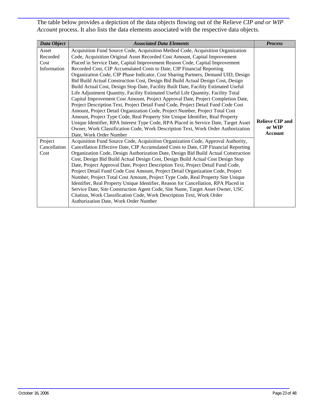The table below provides a depiction of the data objects flowing out of the Relieve *CIP and or WIP Account* process. It also lists the data elements associated with the respective data objects.

| Data Object                              | <b>Associated Data Elements</b>                                                                                                                                                                                                                                                                                                                                                                                                                                                                                                                                                                                                                                                                                                                                                                                                                                                                                                                                                                                                                                                                                                                                                                  | <b>Process</b>                                     |
|------------------------------------------|--------------------------------------------------------------------------------------------------------------------------------------------------------------------------------------------------------------------------------------------------------------------------------------------------------------------------------------------------------------------------------------------------------------------------------------------------------------------------------------------------------------------------------------------------------------------------------------------------------------------------------------------------------------------------------------------------------------------------------------------------------------------------------------------------------------------------------------------------------------------------------------------------------------------------------------------------------------------------------------------------------------------------------------------------------------------------------------------------------------------------------------------------------------------------------------------------|----------------------------------------------------|
| Asset<br>Recorded<br>Cost<br>Information | Acquisition Fund Source Code, Acquisition Method Code, Acquisition Organization<br>Code, Acquisition Original Asset Recorded Cost Amount, Capital Improvement<br>Placed in Service Date, Capital Improvement Reason Code, Capital Improvement<br>Recorded Cost, CIP Accumulated Costs to Date, CIP Financial Reporting<br>Organization Code, CIP Phase Indicator, Cost Sharing Partners, Demand UID, Design<br>Bid Build Actual Construction Cost, Design Bid Build Actual Design Cost, Design<br>Build Actual Cost, Design Stop Date, Facility Built Date, Facility Estimated Useful<br>Life Adjustment Quantity, Facility Estimated Useful Life Quantity, Facility Total<br>Capital Improvement Cost Amount, Project Approval Date, Project Completion Date,<br>Project Description Text, Project Detail Fund Code, Project Detail Fund Code Cost<br>Amount, Project Detail Organization Code, Project Number, Project Total Cost<br>Amount, Project Type Code, Real Property Site Unique Identifier, Real Property<br>Unique Identifier, RPA Interest Type Code, RPA Placed in Service Date, Target Asset<br>Owner, Work Classification Code, Work Description Text, Work Order Authorization | <b>Relieve CIP and</b><br>or WIP<br><b>Account</b> |
| Project<br>Cancellation<br>Cost          | Date, Work Order Number<br>Acquisition Fund Source Code, Acquisition Organization Code, Approval Authority,<br>Cancellation Effective Date, CIP Accumulated Costs to Date, CIP Financial Reporting<br>Organization Code, Design Authorization Date, Design Bid Build Actual Construction<br>Cost, Design Bid Build Actual Design Cost, Design Build Actual Cost Design Stop<br>Date, Project Approval Date, Project Description Text, Project Detail Fund Code,<br>Project Detail Fund Code Cost Amount, Project Detail Organization Code, Project<br>Number, Project Total Cost Amount, Project Type Code, Real Property Site Unique<br>Identifier, Real Property Unique Identifier, Reason for Cancellation, RPA Placed in<br>Service Date, Site Construction Agent Code, Site Name, Target Asset Owner, USC<br>Citation, Work Classification Code, Work Description Text, Work Order<br>Authorization Date, Work Order Number                                                                                                                                                                                                                                                                 |                                                    |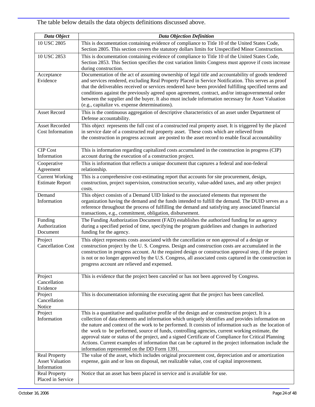The table below details the data objects definitions discussed above.

| Data Object                                                   | <b>Data Objection Definition</b>                                                                                                                                                                                                                                                                                                                                                                                                                                                                                                                                                                                                                                                    |
|---------------------------------------------------------------|-------------------------------------------------------------------------------------------------------------------------------------------------------------------------------------------------------------------------------------------------------------------------------------------------------------------------------------------------------------------------------------------------------------------------------------------------------------------------------------------------------------------------------------------------------------------------------------------------------------------------------------------------------------------------------------|
| 10 USC 2805                                                   | This is documentation containing evidence of compliance to Title 10 of the United States Code,<br>Section 2805. This section covers the statutory dollars limits for Unspecified Minor Construction.                                                                                                                                                                                                                                                                                                                                                                                                                                                                                |
| 10 USC 2853                                                   | This is documentation containing evidence of compliance to Title 10 of the United States Code,<br>Section 2853. This Section specifies the cost variation limits Congress must approve if costs increase<br>during construction.                                                                                                                                                                                                                                                                                                                                                                                                                                                    |
| Acceptance<br>Evidence                                        | Documentation of the act of assuming ownership of legal title and accountability of goods tendered<br>and services rendered, excluding Real Property Placed in Service Notification. This serves as proof<br>that the deliverables received or services rendered have been provided fulfilling specified terms and<br>conditions against the previously agreed upon agreement, contract, and/or intragovernmental order<br>between the supplier and the buyer. It also must include information necessary for Asset Valuation<br>(e.g., capitalize vs. expense determinations).                                                                                                     |
| Asset Record                                                  | This is the continuous aggregation of descriptive characteristics of an asset under Department of<br>Defense accountability.                                                                                                                                                                                                                                                                                                                                                                                                                                                                                                                                                        |
| <b>Asset Recorded</b><br>Cost Information                     | This object represents the full cost of a constructed real property asset. It is triggered by the placed<br>in service date of a constructed real property asset. These costs which are relieved from<br>the construction in progress account are posted to the asset record to enable fiscal accountability                                                                                                                                                                                                                                                                                                                                                                        |
| <b>CIP</b> Cost<br>Information                                | This is information regarding capitalized costs accumulated in the construction in progress (CIP)<br>account during the execution of a construction project.                                                                                                                                                                                                                                                                                                                                                                                                                                                                                                                        |
| Cooperative<br>Agreement                                      | This is information that reflects a unique document that captures a federal and non-federal<br>relationship.                                                                                                                                                                                                                                                                                                                                                                                                                                                                                                                                                                        |
| <b>Current Working</b><br><b>Estimate Report</b>              | This is a comprehensive cost-estimating report that accounts for site procurement, design,<br>construction, project supervision, construction security, value-added taxes, and any other project<br>costs.                                                                                                                                                                                                                                                                                                                                                                                                                                                                          |
| Demand<br>Information                                         | This object consists of a Demand UID linked to the associated elements that represent the<br>organization having the demand and the funds intended to fulfill the demand. The DUID serves as a<br>reference throughout the process of fulfilling the demand and satisfying any associated financial<br>transactions, e.g., commitment, obligation, disbursement.                                                                                                                                                                                                                                                                                                                    |
| Funding<br>Authorization<br>Document                          | The Funding Authorization Document (FAD) establishes the authorized funding for an agency<br>during a specified period of time, specifying the program guidelines and changes in authorized<br>funding for the agency.                                                                                                                                                                                                                                                                                                                                                                                                                                                              |
| Project<br><b>Cancellation Cost</b>                           | This object represents costs associated with the cancellation or non approval of a design or<br>construction project by the U.S. Congress. Design and construction costs are accumulated in the<br>construction in progress account. At the required design or construction approval step, if the project<br>is not or no longer approved by the U.S. Congress, all associated costs captured in the construction in<br>progress account are relieved and expensed.                                                                                                                                                                                                                 |
| Project<br>Cancellation<br>Evidence                           | This is evidence that the project been canceled or has not been approved by Congress.                                                                                                                                                                                                                                                                                                                                                                                                                                                                                                                                                                                               |
| Project<br>Cancellation<br>Notice                             | This is documentation informing the executing agent that the project has been cancelled.                                                                                                                                                                                                                                                                                                                                                                                                                                                                                                                                                                                            |
| Project<br>Information                                        | This is a quantitative and qualitative profile of the design and or construction project. It is a<br>collection of data elements and information which uniquely identifies and provides information on<br>the nature and context of the work to be performed. It consists of information such as the location of<br>the work to be performed, source of funds, controlling agencies, current working estimate, the<br>approval state or status of the project, and a signed Certificate of Compliance for Critical Planning<br>Actions. Current examples of information that can be captured in the project information include the<br>information represented on the DD Form 1391. |
| <b>Real Property</b><br><b>Asset Valuation</b><br>Information | The value of the asset, which includes original procurement cost, depreciation and or amortization<br>expense, gain and or loss on disposal, net realizable value, cost of capital improvement.                                                                                                                                                                                                                                                                                                                                                                                                                                                                                     |
| <b>Real Property</b><br>Placed in Service                     | Notice that an asset has been placed in service and is available for use.                                                                                                                                                                                                                                                                                                                                                                                                                                                                                                                                                                                                           |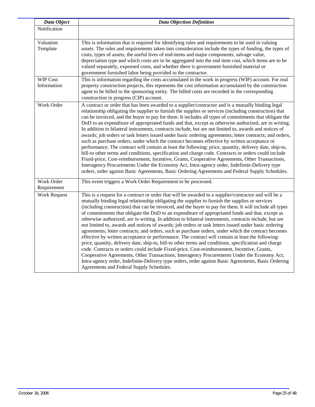| Data Object                    | <b>Data Objection Definition</b>                                                                                                                                                                                                                                                                                                                                                                                                                                                                                                                                                                                                                                                                                                                                                                                                                                                                                                                                                                                                                                                                                                                                                                                                                                                                                |
|--------------------------------|-----------------------------------------------------------------------------------------------------------------------------------------------------------------------------------------------------------------------------------------------------------------------------------------------------------------------------------------------------------------------------------------------------------------------------------------------------------------------------------------------------------------------------------------------------------------------------------------------------------------------------------------------------------------------------------------------------------------------------------------------------------------------------------------------------------------------------------------------------------------------------------------------------------------------------------------------------------------------------------------------------------------------------------------------------------------------------------------------------------------------------------------------------------------------------------------------------------------------------------------------------------------------------------------------------------------|
| Notification                   |                                                                                                                                                                                                                                                                                                                                                                                                                                                                                                                                                                                                                                                                                                                                                                                                                                                                                                                                                                                                                                                                                                                                                                                                                                                                                                                 |
| Valuation<br>Template          | This is information that is required for identifying rules and requirements to be used in valuing<br>assets. The rules and requirements taken into consideration include the types of funding, the types of<br>costs, types of assets, the useful lives of end-items and major components, salvage value,<br>depreciation type and which costs are to be aggregated into the end item cost, which items are to be<br>valued separately, expensed costs, and whether there is government furnished material or<br>government furnished labor being provided to the contractor.                                                                                                                                                                                                                                                                                                                                                                                                                                                                                                                                                                                                                                                                                                                                   |
| <b>WIP Cost</b><br>Information | This is information regarding the costs accumulated in the work in progress (WIP) account. For real<br>property construction projects, this represents the cost information accumulated by the construction<br>agent to be billed to the sponsoring entity. The billed costs are recorded in the corresponding<br>construction in progress (CIP) account.                                                                                                                                                                                                                                                                                                                                                                                                                                                                                                                                                                                                                                                                                                                                                                                                                                                                                                                                                       |
| Work Order                     | A contract or order that has been awarded to a supplier/contractor and is a mutually binding legal<br>relationship obligating the supplier to furnish the supplies or services (including construction) that<br>can be invoiced, and the buyer to pay for them. It includes all types of commitments that obligate the<br>DoD to an expenditure of appropriated funds and that, except as otherwise authorized, are in writing.<br>In addition to bilateral instruments, contracts include, but are not limited to, awards and notices of<br>awards; job orders or task letters issued under basic ordering agreements; letter contracts; and orders,<br>such as purchase orders, under which the contract becomes effective by written acceptance or<br>performance. The contract will contain at least the following: price, quantity, delivery date, ship-to,<br>bill-to other terms and conditions, specification and charge code. Contracts or orders could include<br>Fixed-price, Cost-reimbursement, Incentive, Grants, Cooperative Agreements, Other Transactions,<br>Interagency Procurements Under the Economy Act, Intra-agency order, Indefinite-Delivery type<br>orders, order against Basic Agreements, Basic Ordering Agreements and Federal Supply Schedules.                                  |
| Work Order<br>Requirement      | This event triggers a Work Order Requirement to be processed.                                                                                                                                                                                                                                                                                                                                                                                                                                                                                                                                                                                                                                                                                                                                                                                                                                                                                                                                                                                                                                                                                                                                                                                                                                                   |
| <b>Work Request</b>            | This is a request for a contract or order that will be awarded to a supplier/contractor and will be a<br>mutually binding legal relationship obligating the supplier to furnish the supplies or services<br>(including construction) that can be invoiced, and the buyer to pay for them. It will include all types<br>of commitments that obligate the DoD to an expenditure of appropriated funds and that, except as<br>otherwise authorized, are in writing. In addition to bilateral instruments, contracts include, but are<br>not limited to, awards and notices of awards; job orders or task letters issued under basic ordering<br>agreements; letter contracts; and orders, such as purchase orders, under which the contract becomes<br>effective by written acceptance or performance. The contract will contain at least the following:<br>price, quantity, delivery date, ship-to, bill-to other terms and conditions, specification and charge<br>code. Contracts or orders could include Fixed-price, Cost-reimbursement, Incentive, Grants,<br>Cooperative Agreements, Other Transactions, Interagency Procurements Under the Economy Act,<br>Intra-agency order, Indefinite-Delivery type orders, order against Basic Agreements, Basic Ordering<br>Agreements and Federal Supply Schedules. |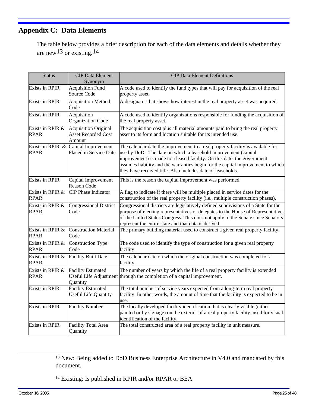## <span id="page-27-0"></span>**Appendix C: Data Elements**

The table below provides a brief description for each of the data elements and details whether they are new[13](#page-27-0) or existing.[14](#page-27-0)

| <b>Status</b>                   | <b>CIP</b> Data Element                                             | <b>CIP Data Element Definitions</b>                                                                                                                                                                                                                                                                                                                                           |
|---------------------------------|---------------------------------------------------------------------|-------------------------------------------------------------------------------------------------------------------------------------------------------------------------------------------------------------------------------------------------------------------------------------------------------------------------------------------------------------------------------|
| <b>Exists in RPIR</b>           | Synonym<br><b>Acquisition Fund</b><br>Source Code                   | A code used to identify the fund types that will pay for acquisition of the real<br>property asset.                                                                                                                                                                                                                                                                           |
| <b>Exists in RPIR</b>           | <b>Acquisition Method</b><br>Code                                   | A designator that shows how interest in the real property asset was acquired.                                                                                                                                                                                                                                                                                                 |
| <b>Exists in RPIR</b>           | Acquisition<br><b>Organization Code</b>                             | A code used to identify organizations responsible for funding the acquisition of<br>the real property asset.                                                                                                                                                                                                                                                                  |
| Exists in RPIR &<br>RPAR        | <b>Acquisition Original</b><br><b>Asset Recorded Cost</b><br>Amount | The acquisition cost plus all material amounts paid to bring the real property<br>asset to its form and location suitable for its intended use.                                                                                                                                                                                                                               |
| RPAR                            | Exists in RPIR $\&$ Capital Improvement<br>Placed in Service Date   | The calendar date the improvement to a real property facility is available for<br>use by DoD. The date on which a leasehold improvement (capital<br>improvement) is made to a leased facility. On this date, the government<br>assumes liability and the warranties begin for the capital improvement to which<br>they have received title. Also includes date of leaseholds. |
| <b>Exists in RPIR</b>           | Capital Improvement<br><b>Reason Code</b>                           | This is the reason the capital improvement was performed.                                                                                                                                                                                                                                                                                                                     |
| Exists in RPIR &<br><b>RPAR</b> | <b>CIP</b> Phase Indicator                                          | A flag to indicate if there will be multiple placed in service dates for the<br>construction of the real property facility (i.e., multiple construction phases).                                                                                                                                                                                                              |
| Exists in RPIR &<br>RPAR        | <b>Congressional District</b><br>Code                               | Congressional districts are legislatively defined subdivisions of a State for the<br>purpose of electing representatives or delegates to the House of Representatives<br>of the United States Congress. This does not apply to the Senate since Senators<br>represent the entire state and that data is derived.                                                              |
| Exists in RPIR &<br><b>RPAR</b> | <b>Construction Material</b><br>Code                                | The primary building material used to construct a given real property facility.                                                                                                                                                                                                                                                                                               |
| Exists in RPIR &<br><b>RPAR</b> | <b>Construction Type</b><br>Code                                    | The code used to identify the type of construction for a given real property<br>facility.                                                                                                                                                                                                                                                                                     |
| Exists in RPIR &<br><b>RPAR</b> | <b>Facility Built Date</b>                                          | The calendar date on which the original construction was completed for a<br>facility.                                                                                                                                                                                                                                                                                         |
| Exists in RPIR &<br><b>RPAR</b> | <b>Facility Estimated</b><br>Useful Life Adjustment<br>Quantity     | The number of years by which the life of a real property facility is extended<br>through the completion of a capital improvement.                                                                                                                                                                                                                                             |
| <b>Exists in RPIR</b>           | <b>Facility Estimated</b><br><b>Useful Life Quantity</b>            | The total number of service years expected from a long-term real property<br>facility. In other words, the amount of time that the facility is expected to be in<br>use.                                                                                                                                                                                                      |
| <b>Exists in RPIR</b>           | <b>Facility Number</b>                                              | The locally developed facility identification that is clearly visible (either<br>painted or by signage) on the exterior of a real property facility, used for visual<br>identification of the facility.                                                                                                                                                                       |
| <b>Exists in RPIR</b>           | <b>Facility Total Area</b><br>Quantity                              | The total constructed area of a real property facility in unit measure.                                                                                                                                                                                                                                                                                                       |

<sup>13</sup> New: Being added to DoD Business Enterprise Architecture in V4.0 and mandated by this document.

14 Existing: Is published in RPIR and/or RPAR or BEA.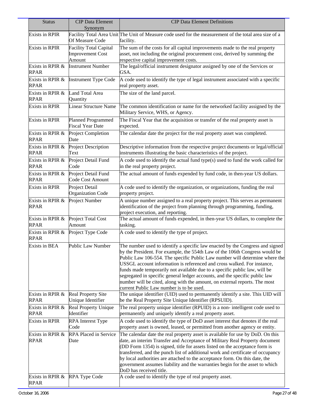| <b>Status</b>                   | <b>CIP Data Element</b><br>Synonym                                 | <b>CIP Data Element Definitions</b>                                                                                                                                                                                                                                                                                                                                                                                                                                                                                                                                                                           |
|---------------------------------|--------------------------------------------------------------------|---------------------------------------------------------------------------------------------------------------------------------------------------------------------------------------------------------------------------------------------------------------------------------------------------------------------------------------------------------------------------------------------------------------------------------------------------------------------------------------------------------------------------------------------------------------------------------------------------------------|
| <b>Exists in RPIR</b>           | Of Measure Code                                                    | Facility Total Area Unit The Unit of Measure code used for the measurement of the total area size of a<br>facility.                                                                                                                                                                                                                                                                                                                                                                                                                                                                                           |
| <b>Exists in RPIR</b>           | <b>Facility Total Capital</b><br><b>Improvement Cost</b><br>Amount | The sum of the costs for all capital improvements made to the real property<br>asset, not including the original procurement cost, derived by summing the<br>respective capital improvement costs.                                                                                                                                                                                                                                                                                                                                                                                                            |
| Exists in RPIR &<br><b>RPAR</b> | <b>Instrument Number</b>                                           | The legal/official instrument designator assigned by one of the Services or<br>GSA.                                                                                                                                                                                                                                                                                                                                                                                                                                                                                                                           |
| Exists in RPIR &<br><b>RPAR</b> | <b>Instrument Type Code</b>                                        | A code used to identify the type of legal instrument associated with a specific<br>real property asset.                                                                                                                                                                                                                                                                                                                                                                                                                                                                                                       |
| Exists in RPIR &<br><b>RPAR</b> | Land Total Area<br>Quantity                                        | The size of the land parcel.                                                                                                                                                                                                                                                                                                                                                                                                                                                                                                                                                                                  |
| <b>Exists in RPIR</b>           | <b>Linear Structure Name</b>                                       | The common identification or name for the networked facility assigned by the<br>Military Service, WHS, or Agency.                                                                                                                                                                                                                                                                                                                                                                                                                                                                                             |
| <b>Exists in RPIR</b>           | <b>Planned Programmed</b><br><b>Fiscal Year Date</b>               | The Fiscal Year that the acquisition or transfer of the real property asset is<br>expected.                                                                                                                                                                                                                                                                                                                                                                                                                                                                                                                   |
| Exists in RPIR &<br>RPAR        | Project Completion<br>Date                                         | The calendar date the project for the real property asset was completed.                                                                                                                                                                                                                                                                                                                                                                                                                                                                                                                                      |
| Exists in RPIR &<br><b>RPAR</b> | Project Description<br>Text                                        | Descriptive information from the respective project documents or legal/official<br>instruments illustrating the basic characteristics of the project.                                                                                                                                                                                                                                                                                                                                                                                                                                                         |
| Exists in RPIR &<br><b>RPAR</b> | Project Detail Fund<br>Code                                        | A code used to identify the actual fund type(s) used to fund the work called for<br>in the real property project.                                                                                                                                                                                                                                                                                                                                                                                                                                                                                             |
| Exists in RPIR &<br>RPAR        | Project Detail Fund<br>Code Cost Amount                            | The actual amount of funds expended by fund code, in then-year US dollars.                                                                                                                                                                                                                                                                                                                                                                                                                                                                                                                                    |
| <b>Exists in RPIR</b>           | Project Detail<br>Organization Code                                | A code used to identify the organization, or organizations, funding the real<br>property project.                                                                                                                                                                                                                                                                                                                                                                                                                                                                                                             |
| Exists in RPIR &<br>RPAR        | Project Number                                                     | A unique number assigned to a real property project. This serves as permanent<br>identification of the project from planning through programming, funding,<br>project execution, and reporting.                                                                                                                                                                                                                                                                                                                                                                                                               |
| Exists in RPIR &<br><b>RPAR</b> | Project Total Cost<br>Amount                                       | The actual amount of funds expended, in then-year US dollars, to complete the<br>tasking.                                                                                                                                                                                                                                                                                                                                                                                                                                                                                                                     |
| Exists in RPIR &<br>RPAR        | Project Type Code                                                  | A code used to identify the type of project.                                                                                                                                                                                                                                                                                                                                                                                                                                                                                                                                                                  |
| Exists in BEA                   | Public Law Number                                                  | The number used to identify a specific law enacted by the Congress and signed<br>by the President. For example, the 554th Law of the 106th Congress would be<br>Public Law 106-554. The specific Public Law number will determine where the<br>USSGL account information is referenced and cross walked. For instance,<br>funds made temporarily not available due to a specific public law, will be<br>segregated in specific general ledger accounts, and the specific public law<br>number will be cited, along with the amount, on external reports. The most<br>current Public Law number is to be used. |
| Exists in RPIR &<br>RPAR        | <b>Real Property Site</b><br>Unique Identifier                     | The unique identifier (UID) used to permanently identify a site. This UID will<br>be the Real Property Site Unique Identifier (RPSUID).                                                                                                                                                                                                                                                                                                                                                                                                                                                                       |
| Exists in RPIR &<br>RPAR        | Real Property Unique<br>Identifier                                 | The real property unique identifier (RPUID) is a non-intelligent code used to<br>permanently and uniquely identify a real property asset.                                                                                                                                                                                                                                                                                                                                                                                                                                                                     |
| <b>Exists in RPIR</b>           | <b>RPA</b> Interest Type<br>Code                                   | A code used to identify the type of DoD asset interest that denotes if the real<br>property asset is owned, leased, or permitted from another agency or entity.                                                                                                                                                                                                                                                                                                                                                                                                                                               |
| Exists in RPIR &<br><b>RPAR</b> | RPA Placed in Service<br>Date                                      | The calendar date the real property asset is available for use by DoD. On this<br>date, an interim Transfer and Acceptance of Military Real Property document<br>(DD Form 1354) is signed, title for assets listed on the acceptance form is<br>transferred, and the punch list of additional work and certificate of occupancy<br>by local authorities are attached to the acceptance form. On this date, the<br>government assumes liability and the warranties begin for the asset to which<br>DoD has received title.                                                                                     |
| Exists in RPIR &<br>RPAR        | <b>RPA Type Code</b>                                               | A code used to identify the type of real property asset.                                                                                                                                                                                                                                                                                                                                                                                                                                                                                                                                                      |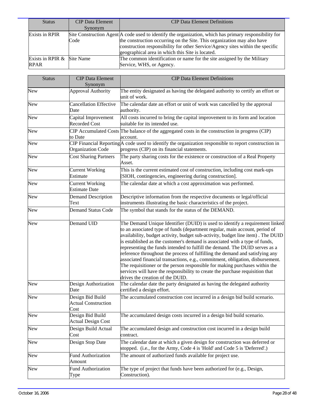| <b>Status</b>                             | <b>CIP</b> Data Element<br>Synonym | <b>CIP</b> Data Element Definitions                                                                                                                                                                                                                                                                                     |
|-------------------------------------------|------------------------------------|-------------------------------------------------------------------------------------------------------------------------------------------------------------------------------------------------------------------------------------------------------------------------------------------------------------------------|
| <b>Exists in RPIR</b>                     | Code                               | Site Construction Agent A code used to identify the organization, which has primary responsibility for<br>the construction occurring on the Site. This organization may also have<br>construction responsibility for other Service/Agency sites within the specific<br>geographical area in which this Site is located. |
| Exists in RPIR & Site Name<br><b>RPAR</b> |                                    | The common identification or name for the site assigned by the Military<br>Service, WHS, or Agency.                                                                                                                                                                                                                     |

| <b>Status</b> | <b>CIP Data Element</b><br>Synonym                     | <b>CIP Data Element Definitions</b>                                                                                                                                                                                                                                                                                                                                                                                                                                                                                                                                                                                                                                                                                                                                                |
|---------------|--------------------------------------------------------|------------------------------------------------------------------------------------------------------------------------------------------------------------------------------------------------------------------------------------------------------------------------------------------------------------------------------------------------------------------------------------------------------------------------------------------------------------------------------------------------------------------------------------------------------------------------------------------------------------------------------------------------------------------------------------------------------------------------------------------------------------------------------------|
| New           | <b>Approval Authority</b>                              | The entity designated as having the delegated authority to certify an effort or<br>unit of work.                                                                                                                                                                                                                                                                                                                                                                                                                                                                                                                                                                                                                                                                                   |
| New           | <b>Cancellation Effective</b><br>Date                  | The calendar date an effort or unit of work was cancelled by the approval<br>authority.                                                                                                                                                                                                                                                                                                                                                                                                                                                                                                                                                                                                                                                                                            |
| <b>New</b>    | Capital Improvement<br><b>Recorded Cost</b>            | All costs incurred to bring the capital improvement to its form and location<br>suitable for its intended use.                                                                                                                                                                                                                                                                                                                                                                                                                                                                                                                                                                                                                                                                     |
| <b>New</b>    | to Date                                                | CIP Accumulated Costs The balance of the aggregated costs in the construction in progress (CIP)<br>account.                                                                                                                                                                                                                                                                                                                                                                                                                                                                                                                                                                                                                                                                        |
| New           | <b>Organization Code</b>                               | CIP Financial Reporting A code used to identify the organization responsible to report construction in<br>progress (CIP) on its financial statements.                                                                                                                                                                                                                                                                                                                                                                                                                                                                                                                                                                                                                              |
| New           | <b>Cost Sharing Partners</b>                           | The party sharing costs for the existence or construction of a Real Property<br>Asset.                                                                                                                                                                                                                                                                                                                                                                                                                                                                                                                                                                                                                                                                                             |
| New           | <b>Current Working</b><br>Estimate                     | This is the current estimated cost of construction, including cost mark-ups<br>[SIOH, contingencies, engineering during construction].                                                                                                                                                                                                                                                                                                                                                                                                                                                                                                                                                                                                                                             |
| New           | <b>Current Working</b><br><b>Estimate Date</b>         | The calendar date at which a cost approximation was performed.                                                                                                                                                                                                                                                                                                                                                                                                                                                                                                                                                                                                                                                                                                                     |
| New           | <b>Demand Description</b><br>Text                      | Descriptive information from the respective documents or legal/official<br>instruments illustrating the basic characteristics of the project.                                                                                                                                                                                                                                                                                                                                                                                                                                                                                                                                                                                                                                      |
| New           | <b>Demand Status Code</b>                              | The symbol that stands for the status of the DEMAND.                                                                                                                                                                                                                                                                                                                                                                                                                                                                                                                                                                                                                                                                                                                               |
| New           | Demand UID                                             | The Demand Unique Identifier (DUID) is used to identify a requirement linked<br>to an associated type of funds (department regular, main account, period of<br>availability, budget activity, budget sub-activity, budget line item). The DUID<br>is established as the customer's demand is associated with a type of funds,<br>representing the funds intended to fulfill the demand. The DUID serves as a<br>reference throughout the process of fulfilling the demand and satisfying any<br>associated financial transactions, e.g., commitment, obligation, disbursement.<br>The requisitioner or the person responsible for making purchases within the<br>services will have the responsibility to create the purchase requisition that<br>drives the creation of the DUID. |
| <b>New</b>    | Design Authorization<br>Date                           | The calendar date the party designated as having the delegated authority<br>certified a design effort.                                                                                                                                                                                                                                                                                                                                                                                                                                                                                                                                                                                                                                                                             |
| New           | Design Bid Build<br><b>Actual Construction</b><br>Cost | The accumulated construction cost incurred in a design bid build scenario.                                                                                                                                                                                                                                                                                                                                                                                                                                                                                                                                                                                                                                                                                                         |
| New           | Design Bid Build<br><b>Actual Design Cost</b>          | The accumulated design costs incurred in a design bid build scenario.                                                                                                                                                                                                                                                                                                                                                                                                                                                                                                                                                                                                                                                                                                              |
| New           | Design Build Actual<br>Cost                            | The accumulated design and construction cost incurred in a design build<br>contract.                                                                                                                                                                                                                                                                                                                                                                                                                                                                                                                                                                                                                                                                                               |
| New           | Design Stop Date                                       | The calendar date at which a given design for construction was deferred or<br>stopped. (i.e., for the Army, Code 4 is 'Hold' and Code 5 is 'Deferred'.)                                                                                                                                                                                                                                                                                                                                                                                                                                                                                                                                                                                                                            |
| New           | <b>Fund Authorization</b><br>Amount                    | The amount of authorized funds available for project use.                                                                                                                                                                                                                                                                                                                                                                                                                                                                                                                                                                                                                                                                                                                          |
| New           | <b>Fund Authorization</b><br>Type                      | The type of project that funds have been authorized for (e.g., Design,<br>Construction).                                                                                                                                                                                                                                                                                                                                                                                                                                                                                                                                                                                                                                                                                           |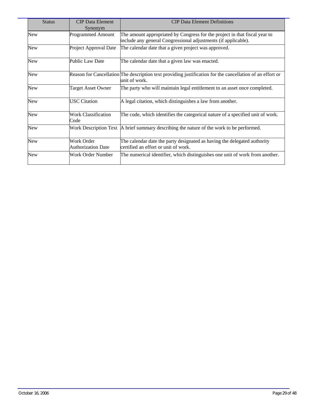| <b>Status</b> | <b>CIP</b> Data Element<br>Synonym      | <b>CIP Data Element Definitions</b>                                                                                                          |
|---------------|-----------------------------------------|----------------------------------------------------------------------------------------------------------------------------------------------|
| New           | <b>Programmed Amount</b>                | The amount appropriated by Congress for the project in that fiscal year to<br>include any general Congressional adjustments (if applicable). |
| <b>New</b>    | Project Approval Date                   | The calendar date that a given project was approved.                                                                                         |
| <b>New</b>    | Public Law Date                         | The calendar date that a given law was enacted.                                                                                              |
| New           |                                         | Reason for Cancellation The description text providing justification for the cancellation of an effort or<br>unit of work.                   |
| <b>New</b>    | <b>Target Asset Owner</b>               | The party who will maintain legal entitlement to an asset once completed.                                                                    |
| <b>New</b>    | <b>USC</b> Citation                     | A legal citation, which distinguishes a law from another.                                                                                    |
| <b>New</b>    | <b>Work Classification</b><br>Code      | The code, which identifies the categorical nature of a specified unit of work.                                                               |
| New           |                                         | Work Description Text   A brief summary describing the nature of the work to be performed.                                                   |
| <b>New</b>    | Work Order<br><b>Authorization Date</b> | The calendar date the party designated as having the delegated authority<br>certified an effort or unit of work.                             |
| New           | Work Order Number                       | The numerical identifier, which distinguishes one unit of work from another.                                                                 |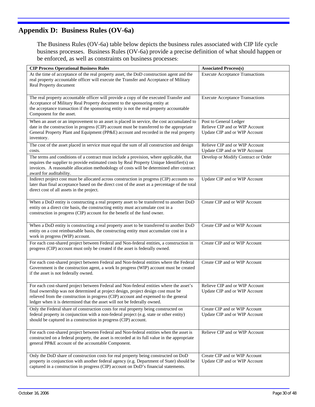## <span id="page-31-0"></span>**Appendix D: Business Rules (OV-6a)**

The Business Rules (OV-6a) table below depicts the business rules associated with CIP life cycle business processes. Business Rules (OV-6a) provide a precise definition of what should happen or be enforced, as well as constraints on business processes:

| <b>CIP Process Operational Business Rules</b>                                                                                                                                                                                                                                                                                                    | <b>Associated Process(s)</b>                                                              |
|--------------------------------------------------------------------------------------------------------------------------------------------------------------------------------------------------------------------------------------------------------------------------------------------------------------------------------------------------|-------------------------------------------------------------------------------------------|
| At the time of acceptance of the real property asset, the DoD construction agent and the<br>real property accountable officer will execute the Transfer and Acceptance of Military<br>Real Property document                                                                                                                                     | <b>Execute Acceptance Transactions</b>                                                    |
| The real property accountable officer will provide a copy of the executed Transfer and<br>Acceptance of Military Real Property document to the sponsoring entity at<br>the acceptance transaction if the sponsoring entity is not the real property accountable<br>Component for the asset.                                                      | <b>Execute Acceptance Transactions</b>                                                    |
| When an asset or an improvement to an asset is placed in service, the cost accumulated to<br>date in the construction in progress (CIP) account must be transferred to the appropriate<br>General Property Plant and Equipment (PP&E) account and recorded in the real property<br>inventory.                                                    | Post to General Ledger<br>Relieve CIP and or WIP Account<br>Update CIP and or WIP Account |
| The cost of the asset placed in service must equal the sum of all construction and design<br>costs.                                                                                                                                                                                                                                              | Relieve CIP and or WIP Account<br>Update CIP and or WIP Account                           |
| The terms and conditions of a contract must include a provision, where applicable, that<br>requires the supplier to provide estimated costs by Real Property Unique Identifier(s) on<br>invoices. A reasonable allocation methodology of costs will be determined after contract<br>award for auditability.                                      | Develop or Modify Contract or Order                                                       |
| Indirect project cost must be allocated across construction in progress (CIP) accounts no<br>later than final acceptance based on the direct cost of the asset as a percentage of the total<br>direct cost of all assets in the project.                                                                                                         | Update CIP and or WIP Account                                                             |
| When a DoD entity is constructing a real property asset to be transferred to another DoD<br>entity on a direct cite basis, the constructing entity must accumulate cost in a<br>construction in progress (CIP) account for the benefit of the fund owner.                                                                                        | Create CIP and or WIP Account                                                             |
| When a DoD entity is constructing a real property asset to be transferred to another DoD<br>entity on a cost reimbursable basis, the constructing entity must accumulate cost in a<br>work in progress (WIP) account.                                                                                                                            | Create CIP and or WIP Account                                                             |
| For each cost-shared project between Federal and Non-federal entities, a construction in<br>progress (CIP) account must only be created if the asset is federally owned.                                                                                                                                                                         | Create CIP and or WIP Account                                                             |
| For each cost-shared project between Federal and Non-federal entities where the Federal<br>Government is the construction agent, a work In progress (WIP) account must be created<br>if the asset is not federally owned.                                                                                                                        | Create CIP and or WIP Account                                                             |
| For each cost-shared project between Federal and Non-federal entities where the asset's<br>final ownership was not determined at project design, project design cost must be<br>relieved from the construction in progress (CIP) account and expensed to the general<br>ledger when it is determined that the asset will not be federally owned. | Relieve CIP and or WIP Account<br>Update CIP and or WIP Account                           |
| Only the Federal share of construction costs for real property being constructed on<br>federal property in conjunction with a non-federal project (e.g. state or other entity)<br>should be captured in a construction in progress (CIP) account.                                                                                                | Create CIP and or WIP Account<br>Update CIP and or WIP Account                            |
| For each cost-shared project between Federal and Non-federal entities when the asset is<br>constructed on a federal property, the asset is recorded at its full value in the appropriate<br>general PP&E account of the accountable Component.                                                                                                   | Relieve CIP and or WIP Account                                                            |
| Only the DoD share of construction costs for real property being constructed on DoD<br>property in conjunction with another federal agency (e.g. Department of State) should be<br>captured in a construction in progress (CIP) account on DoD's financial statements.                                                                           | Create CIP and or WIP Account<br>Update CIP and or WIP Account                            |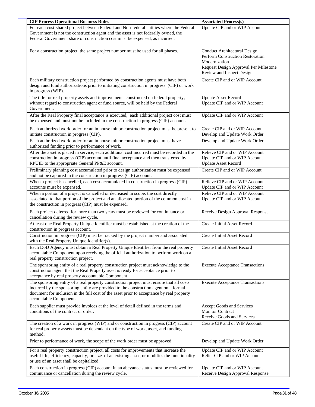| <b>CIP Process Operational Business Rules</b>                                                                                                                                                                                                                                                           | <b>Associated Process(s)</b>                                                                                                                                          |
|---------------------------------------------------------------------------------------------------------------------------------------------------------------------------------------------------------------------------------------------------------------------------------------------------------|-----------------------------------------------------------------------------------------------------------------------------------------------------------------------|
| For each cost-shared project between Federal and Non-federal entities where the Federal<br>Government is not the construction agent and the asset is not federally owned, the<br>Federal Government share of construction cost must be expensed, as incurred.                                           | Update CIP and or WIP Account                                                                                                                                         |
| For a construction project, the same project number must be used for all phases.                                                                                                                                                                                                                        | <b>Conduct Architectural Design</b><br><b>Perform Construction Restoration</b><br>Modernization<br>Request Design Approval Per Milestone<br>Review and Inspect Design |
| Each military construction project performed by construction agents must have both<br>design and fund authorizations prior to initiating construction in progress (CIP) or work<br>in progress (WIP).                                                                                                   | Create CIP and or WIP Account                                                                                                                                         |
| The title for real property assets and improvements constructed on federal property,<br>without regard to construction agent or fund source, will be held by the Federal<br>Government.                                                                                                                 | <b>Update Asset Record</b><br>Update CIP and or WIP Account                                                                                                           |
| After the Real Property final acceptance is executed, each additional project cost must<br>be expensed and must not be included in the construction in progress (CIP) account.                                                                                                                          | Update CIP and or WIP Account                                                                                                                                         |
| Each authorized work order for an in house minor construction project must be present to<br>initiate construction in progress (CIP).                                                                                                                                                                    | Create CIP and or WIP Account<br>Develop and Update Work Order                                                                                                        |
| Each authorized work order for an in house minor construction project must have<br>authorized funding prior to performance of work.                                                                                                                                                                     | Develop and Update Work Order                                                                                                                                         |
| After the asset is placed in service, each additional cost incurred must be recorded in the<br>construction in progress (CIP) account until final acceptance and then transferred by<br>RPUID to the appropriate General PP&E account.                                                                  | Relieve CIP and or WIP Account<br>Update CIP and or WIP Account<br><b>Update Asset Record</b>                                                                         |
| Preliminary planning cost accumulated prior to design authorization must be expensed<br>and not be captured in the construction in progress (CIP) account.                                                                                                                                              | Create CIP and or WIP Account                                                                                                                                         |
| When a project is cancelled, each cost accumulated in construction in progress (CIP)<br>accounts must be expensed.                                                                                                                                                                                      | Relieve CIP and or WIP Account<br>Update CIP and or WIP Account                                                                                                       |
| When a portion of a project is cancelled or decreased in scope, the cost directly<br>associated to that portion of the project and an allocated portion of the common cost in<br>the construction in progress (CIP) must be expensed.                                                                   | Relieve CIP and or WIP Account<br>Update CIP and or WIP Account                                                                                                       |
| Each project deferred for more than two years must be reviewed for continuance or<br>cancellation during the review cycle.                                                                                                                                                                              | Receive Design Approval Response                                                                                                                                      |
| At least one Real Property Unique Identifier must be established at the creation of the<br>construction in progress account.                                                                                                                                                                            | <b>Create Initial Asset Record</b>                                                                                                                                    |
| Construction in progress (CIP) must be tracked by the project number and associated<br>with the Real Property Unique Identifier(s).                                                                                                                                                                     | <b>Create Initial Asset Record</b>                                                                                                                                    |
| Each DoD Agency must obtain a Real Property Unique Identifier from the real property<br>accountable Component upon receiving the official authorization to perform work on a<br>real property construction project.                                                                                     | <b>Create Initial Asset Record</b>                                                                                                                                    |
| The sponsoring entity of a real property construction project must acknowledge to the<br>construction agent that the Real Property asset is ready for acceptance prior to<br>acceptance by real property accountable Component.                                                                         | <b>Execute Acceptance Transactions</b>                                                                                                                                |
| The sponsoring entity of a real property construction project must ensure that all costs<br>incurred by the sponsoring entity are provided to the construction agent on a formal<br>document for inclusion in the full cost of the asset prior to acceptance by real property<br>accountable Component. | <b>Execute Acceptance Transactions</b>                                                                                                                                |
| Each supplier must provide invoices at the level of detail defined in the terms and<br>conditions of the contract or order.                                                                                                                                                                             | Accept Goods and Services<br><b>Monitor Contract</b><br>Receive Goods and Services                                                                                    |
| The creation of a work in progress (WIP) and or construction in progress (CIP) account<br>for real property assets must be dependant on the type of work, asset, and funding<br>method.                                                                                                                 | Create CIP and or WIP Account                                                                                                                                         |
| Prior to performance of work, the scope of the work order must be approved.                                                                                                                                                                                                                             | Develop and Update Work Order                                                                                                                                         |
| For a real property construction project, all costs for improvements that increase the<br>useful life, efficiency, capacity, or size of an existing asset, or modifies the functionality<br>or use of an asset shall be capitalized.                                                                    | Update CIP and or WIP Account<br>Relief CIP and or WIP Account                                                                                                        |
| Each construction in progress (CIP) account in an abeyance status must be reviewed for<br>continuance or cancellation during the review cycle.                                                                                                                                                          | Update CIP and or WIP Account<br>Receive Design Approval Response                                                                                                     |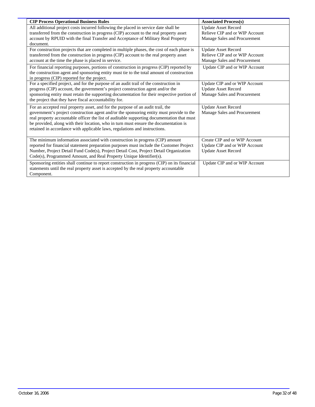| <b>CIP Process Operational Business Rules</b>                                                | <b>Associated Process(s)</b>   |
|----------------------------------------------------------------------------------------------|--------------------------------|
| All additional project costs incurred following the placed in service date shall be          | <b>Update Asset Record</b>     |
| transferred from the construction in progress (CIP) account to the real property asset       | Relieve CIP and or WIP Account |
| account by RPUID with the final Transfer and Acceptance of Military Real Property            | Manage Sales and Procurement   |
| document.                                                                                    |                                |
| For construction projects that are completed in multiple phases, the cost of each phase is   | <b>Update Asset Record</b>     |
| transferred from the construction in progress (CIP) account to the real property asset       | Relieve CIP and or WIP Account |
| account at the time the phase is placed in service.                                          | Manage Sales and Procurement   |
| For financial reporting purposes, portions of construction in progress (CIP) reported by     | Update CIP and or WIP Account  |
| the construction agent and sponsoring entity must tie to the total amount of construction    |                                |
| in progress (CIP) reported for the project.                                                  |                                |
| For a specified project, and for the purpose of an audit trail of the construction in        | Update CIP and or WIP Account  |
| progress (CIP) account, the government's project construction agent and/or the               | <b>Update Asset Record</b>     |
| sponsoring entity must retain the supporting documentation for their respective portion of   | Manage Sales and Procurement   |
| the project that they have fiscal accountability for.                                        |                                |
| For an accepted real property asset, and for the purpose of an audit trail, the              | <b>Update Asset Record</b>     |
| government's project construction agent and/or the sponsoring entity must provide to the     | Manage Sales and Procurement   |
| real property accountable officer the list of auditable supporting documentation that must   |                                |
| be provided, along with their location, who in turn must ensure the documentation is         |                                |
| retained in accordance with applicable laws, regulations and instructions.                   |                                |
|                                                                                              |                                |
| The minimum information associated with construction in progress (CIP) amount                | Create CIP and or WIP Account  |
| reported for financial statement preparation purposes must include the Customer Project      | Update CIP and or WIP Account  |
| Number, Project Detail Fund Code(s), Project Detail Cost, Project Detail Organization        | <b>Update Asset Record</b>     |
| Code(s), Programmed Amount, and Real Property Unique Identifier(s).                          |                                |
| Sponsoring entities shall continue to report construction in progress (CIP) on its financial | Update CIP and or WIP Account  |
| statements until the real property asset is accepted by the real property accountable        |                                |
| Component.                                                                                   |                                |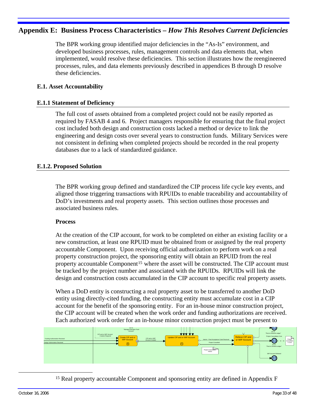## <span id="page-34-0"></span>**Appendix E: Business Process Characteristics –** *How This Resolves Current Deficiencies*

The BPR working group identified major deficiencies in the "As-Is" environment, and developed business processes, rules, management controls and data elements that, when implemented, would resolve these deficiencies. This section illustrates how the reengineered processes, rules, and data elements previously described in appendices B through D resolve these deficiencies.

#### **E.1. Asset Accountability**

#### **E.1.1 Statement of Deficiency**

The full cost of assets obtained from a completed project could not be easily reported as required by FASAB 4 and 6. Project managers responsible for ensuring that the final project cost included both design and construction costs lacked a method or device to link the engineering and design costs over several years to construction funds. Military Services were not consistent in defining when completed projects should be recorded in the real property databases due to a lack of standardized guidance.

#### **E.1.2. Proposed Solution**

The BPR working group defined and standardized the CIP process life cycle key events, and aligned those triggering transactions with RPUIDs to enable traceability and accountability of DoD's investments and real property assets. This section outlines those processes and associated business rules.

#### **Process**

At the creation of the CIP account, for work to be completed on either an existing facility or a new construction, at least one RPUID must be obtained from or assigned by the real property accountable Component. Upon receiving official authorization to perform work on a real property construction project, the sponsoring entity will obtain an RPUID from the real property accountable Component<sup>[15](#page-34-0)</sup> where the asset will be constructed. The CIP account must be tracked by the project number and associated with the RPUIDs. RPUIDs will link the design and construction costs accumulated in the CIP account to specific real property assets.

When a DoD entity is constructing a real property asset to be transferred to another DoD entity using directly-cited funding, the constructing entity must accumulate cost in a CIP account for the benefit of the sponsoring entity. For an in-house minor construction project, the CIP account will be created when the work order and funding authorizations are received. Each authorized work order for an in-house minor construction project must be present to



<sup>15</sup> Real property accountable Component and sponsoring entity are defined in Appendix F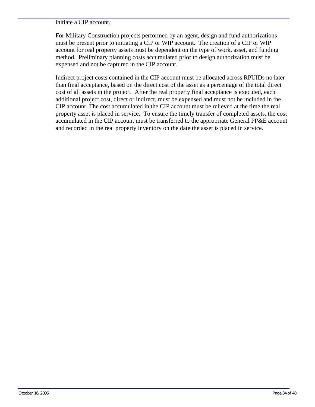#### initiate a CIP account.

For Military Construction projects performed by an agent, design and fund authorizations must be present prior to initiating a CIP or WIP account. The creation of a CIP or WIP account for real property assets must be dependent on the type of work, asset, and funding method. Preliminary planning costs accumulated prior to design authorization must be expensed and not be captured in the CIP account.

Indirect project costs contained in the CIP account must be allocated across RPUIDs no later than final acceptance, based on the direct cost of the asset as a percentage of the total direct cost of all assets in the project. After the real property final acceptance is executed, each additional project cost, direct or indirect, must be expensed and must not be included in the CIP account. The cost accumulated in the CIP account must be relieved at the time the real property asset is placed in service. To ensure the timely transfer of completed assets, the cost accumulated in the CIP account must be transferred to the appropriate General PP&E account and recorded in the real property inventory on the date the asset is placed in service.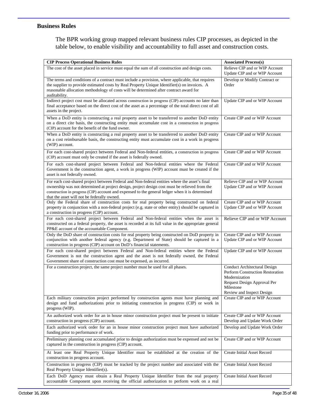#### **Business Rules**

The BPR working group mapped relevant business rules CIP processes, as depicted in the table below, to enable visibility and accountability to full asset and construction costs.

| <b>CIP Process Operational Business Rules</b>                                                                                                                                                                                                                                                                                                    | <b>Associated Process(s)</b>                                                                                                                                             |
|--------------------------------------------------------------------------------------------------------------------------------------------------------------------------------------------------------------------------------------------------------------------------------------------------------------------------------------------------|--------------------------------------------------------------------------------------------------------------------------------------------------------------------------|
| The cost of the asset placed in service must equal the sum of all construction and design costs.                                                                                                                                                                                                                                                 | Relieve CIP and or WIP Account<br>Update CIP and or WIP Account                                                                                                          |
| The terms and conditions of a contract must include a provision, where applicable, that requires<br>the supplier to provide estimated costs by Real Property Unique Identifier(s) on invoices. A<br>reasonable allocation methodology of costs will be determined after contract award for<br>auditability.                                      | Develop or Modify Contract or<br>Order                                                                                                                                   |
| Indirect project cost must be allocated across construction in progress (CIP) accounts no later than<br>final acceptance based on the direct cost of the asset as a percentage of the total direct cost of all<br>assets in the project.                                                                                                         | Update CIP and or WIP Account                                                                                                                                            |
| When a DoD entity is constructing a real property asset to be transferred to another DoD entity<br>on a direct cite basis, the constructing entity must accumulate cost in a construction in progress<br>(CIP) account for the benefit of the fund owner.                                                                                        | Create CIP and or WIP Account                                                                                                                                            |
| When a DoD entity is constructing a real property asset to be transferred to another DoD entity<br>on a cost reimbursable basis, the constructing entity must accumulate cost in a work in progress<br>(WIP) account.                                                                                                                            | Create CIP and or WIP Account                                                                                                                                            |
| For each cost-shared project between Federal and Non-federal entities, a construction in progress<br>(CIP) account must only be created if the asset is federally owned.                                                                                                                                                                         | Create CIP and or WIP Account                                                                                                                                            |
| For each cost-shared project between Federal and Non-federal entities where the Federal<br>Government is the construction agent, a work in progress (WIP) account must be created if the<br>asset is not federally owned.                                                                                                                        | Create CIP and or WIP Account                                                                                                                                            |
| For each cost-shared project between Federal and Non-federal entities where the asset's final<br>ownership was not determined at project design, project design cost must be relieved from the<br>construction in progress (CIP) account and expensed to the general ledger when it is determined<br>that the asset will not be federally owned. | Relieve CIP and or WIP Account<br>Update CIP and or WIP Account                                                                                                          |
| Only the Federal share of construction costs for real property being constructed on federal<br>property in conjunction with a non-federal project (e.g. state or other entity) should be captured in<br>a construction in progress (CIP) account.                                                                                                | Create CIP and or WIP Account<br>Update CIP and or WIP Account                                                                                                           |
| For each cost-shared project between Federal and Non-federal entities when the asset is<br>constructed on a federal property, the asset is recorded at its full value in the appropriate general<br>PP&E account of the accountable Component.                                                                                                   | Relieve CIP and or WIP Account                                                                                                                                           |
| Only the DoD share of construction costs for real property being constructed on DoD property in<br>conjunction with another federal agency (e.g. Department of State) should be captured in a<br>construction in progress (CIP) account on DoD's financial statements.                                                                           | Create CIP and or WIP Account<br>Update CIP and or WIP Account                                                                                                           |
| For each cost-shared project between Federal and Non-federal entities where the Federal<br>Government is not the construction agent and the asset is not federally owned, the Federal<br>Government share of construction cost must be expensed, as incurred.                                                                                    | Update CIP and or WIP Account                                                                                                                                            |
| For a construction project, the same project number must be used for all phases.                                                                                                                                                                                                                                                                 | <b>Conduct Architectural Design</b><br><b>Perform Construction Restoration</b><br>Modernization<br>Request Design Approval Per<br>Milestone<br>Review and Inspect Design |
| Each military construction project performed by construction agents must have planning and<br>design and fund authorizations prior to initiating construction in progress (CIP) or work in<br>progress (WIP).                                                                                                                                    | Create CIP and or WIP Account                                                                                                                                            |
| An authorized work order for an in house minor construction project must be present to initiate<br>construction in progress (CIP) account.                                                                                                                                                                                                       | Create CIP and or WIP Account<br>Develop and Update Work Order                                                                                                           |
| Each authorized work order for an in house minor construction project must have authorized<br>funding prior to performance of work.                                                                                                                                                                                                              | Develop and Update Work Order                                                                                                                                            |
| Preliminary planning cost accumulated prior to design authorization must be expensed and not be<br>captured in the construction in progress (CIP) account.                                                                                                                                                                                       | Create CIP and or WIP Account                                                                                                                                            |
| At least one Real Property Unique Identifier must be established at the creation of the<br>construction in progress account.                                                                                                                                                                                                                     | Create Initial Asset Record                                                                                                                                              |
| Construction in progress (CIP) must be tracked by the project number and associated with the<br>Real Property Unique Identifier(s).                                                                                                                                                                                                              | Create Initial Asset Record                                                                                                                                              |
| Each DoD Agency must obtain a Real Property Unique Identifier from the real property<br>accountable Component upon receiving the official authorization to perform work on a real                                                                                                                                                                | Create Initial Asset Record                                                                                                                                              |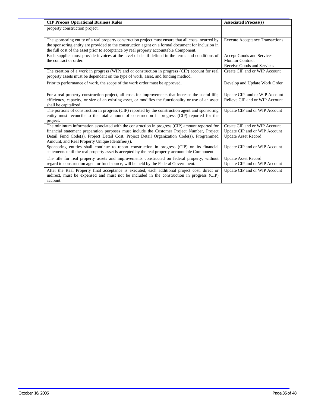| <b>CIP Process Operational Business Rules</b>                                                                                                                                                                                                                                                                                                | <b>Associated Process(s)</b>                                                                 |
|----------------------------------------------------------------------------------------------------------------------------------------------------------------------------------------------------------------------------------------------------------------------------------------------------------------------------------------------|----------------------------------------------------------------------------------------------|
| property construction project.                                                                                                                                                                                                                                                                                                               |                                                                                              |
| The sponsoring entity of a real property construction project must ensure that all costs incurred by<br>the sponsoring entity are provided to the construction agent on a formal document for inclusion in<br>the full cost of the asset prior to acceptance by real property accountable Component.                                         | <b>Execute Acceptance Transactions</b>                                                       |
| Each supplier must provide invoices at the level of detail defined in the terms and conditions of<br>the contract or order.                                                                                                                                                                                                                  | Accept Goods and Services<br><b>Monitor Contract</b><br>Receive Goods and Services           |
| The creation of a work in progress (WIP) and or construction in progress (CIP) account for real<br>property assets must be dependent on the type of work, asset, and funding method.                                                                                                                                                         | Create CIP and or WIP Account                                                                |
| Prior to performance of work, the scope of the work order must be approved.                                                                                                                                                                                                                                                                  | Develop and Update Work Order                                                                |
| For a real property construction project, all costs for improvements that increase the useful life,<br>efficiency, capacity, or size of an existing asset, or modifies the functionality or use of an asset<br>shall be capitalized.                                                                                                         | Update CIP and or WIP Account<br>Relieve CIP and or WIP Account                              |
| The portions of construction in progress (CIP) reported by the construction agent and sponsoring<br>entity must reconcile to the total amount of construction in progress (CIP) reported for the<br>project.                                                                                                                                 | Update CIP and or WIP Account                                                                |
| The minimum information associated with the construction in progress (CIP) amount reported for<br>financial statement preparation purposes must include the Customer Project Number, Project<br>Detail Fund Code(s), Project Detail Cost, Project Detail Organization Code(s), Programmed<br>Amount, and Real Property Unique Identifier(s). | Create CIP and or WIP Account<br>Update CIP and or WIP Account<br><b>Update Asset Record</b> |
| Sponsoring entities shall continue to report construction in progress (CIP) on its financial<br>statements until the real property asset is accepted by the real property accountable Component.                                                                                                                                             | Update CIP and or WIP Account                                                                |
| The title for real property assets and improvements constructed on federal property, without<br>regard to construction agent or fund source, will be held by the Federal Government.                                                                                                                                                         | <b>Update Asset Record</b><br>Update CIP and or WIP Account                                  |
| After the Real Property final acceptance is executed, each additional project cost, direct or<br>indirect, must be expensed and must not be included in the construction in progress (CIP)<br>account.                                                                                                                                       | Update CIP and or WIP Account                                                                |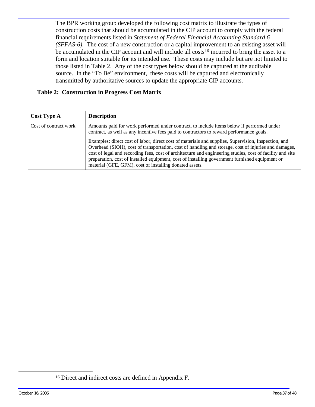<span id="page-38-0"></span>The BPR working group developed the following cost matrix to illustrate the types of construction costs that should be accumulated in the CIP account to comply with the federal financial requirements listed in *Statement of Federal Financial Accounting Standard 6 (SFFAS-6)*. The cost of a new construction or a capital improvement to an existing asset will be accumulated in the CIP account and will include all costs<sup>[16](#page-38-0)</sup> incurred to bring the asset to a form and location suitable for its intended use. These costs may include but are not limited to those listed in Table 2. Any of the cost types below should be captured at the auditable source. In the "To Be" environment, these costs will be captured and electronically transmitted by authoritative sources to update the appropriate CIP accounts.

#### **Table 2: Construction in Progress Cost Matrix**

| <b>Cost Type A</b>    | <b>Description</b>                                                                                                                                                                                                                                                                                                                                                                                                                                                                                                                                                                                                                                                             |
|-----------------------|--------------------------------------------------------------------------------------------------------------------------------------------------------------------------------------------------------------------------------------------------------------------------------------------------------------------------------------------------------------------------------------------------------------------------------------------------------------------------------------------------------------------------------------------------------------------------------------------------------------------------------------------------------------------------------|
| Cost of contract work | Amounts paid for work performed under contract, to include items below if performed under<br>contract, as well as any incentive fees paid to contractors to reward performance goals.<br>Examples: direct cost of labor, direct cost of materials and supplies, Supervision, Inspection, and<br>Overhead (SIOH), cost of transportation, cost of handling and storage, cost of injuries and damages,<br>cost of legal and recording fees, cost of architecture and engineering studies, cost of facility and site<br>preparation, cost of installed equipment, cost of installing government furnished equipment or<br>material (GFE, GFM), cost of installing donated assets. |

<sup>16</sup> Direct and indirect costs are defined in Appendix F.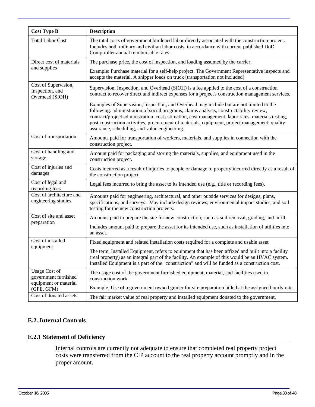<span id="page-39-0"></span>

| <b>Cost Type B</b>                                                    | <b>Description</b>                                                                                                                                                                                                                                                                                                                                                                                                                           |
|-----------------------------------------------------------------------|----------------------------------------------------------------------------------------------------------------------------------------------------------------------------------------------------------------------------------------------------------------------------------------------------------------------------------------------------------------------------------------------------------------------------------------------|
| <b>Total Labor Cost</b>                                               | The total costs of government burdened labor directly associated with the construction project.<br>Includes both military and civilian labor costs, in accordance with current published DoD<br>Comptroller annual reimbursable rates.                                                                                                                                                                                                       |
| Direct cost of materials                                              | The purchase price, the cost of inspection, and loading assumed by the carrier.                                                                                                                                                                                                                                                                                                                                                              |
| and supplies                                                          | Example: Purchase material for a self-help project. The Government Representative inspects and<br>accepts the material. A shipper loads on truck [transportation not included].                                                                                                                                                                                                                                                              |
| Cost of Supervision,<br>Inspection, and<br>Overhead (SIOH)            | Supervision, Inspection, and Overhead (SIOH) is a fee applied to the cost of a construction<br>contract to recover direct and indirect expenses for a project's construction management services.                                                                                                                                                                                                                                            |
|                                                                       | Examples of Supervision, Inspection, and Overhead may include but are not limited to the<br>following: administration of social programs, claims analysis, constructability review,<br>contract/project administration, cost estimation, cost management, labor rates, materials testing,<br>post construction activities, procurement of materials, equipment, project management, quality<br>assurance, scheduling, and value engineering. |
| Cost of transportation                                                | Amounts paid for transportation of workers, materials, and supplies in connection with the<br>construction project.                                                                                                                                                                                                                                                                                                                          |
| Cost of handling and<br>storage                                       | Amount paid for packaging and storing the materials, supplies, and equipment used in the<br>construction project.                                                                                                                                                                                                                                                                                                                            |
| Cost of injuries and<br>damages                                       | Costs incurred as a result of injuries to people or damage to property incurred directly as a result of<br>the construction project.                                                                                                                                                                                                                                                                                                         |
| Cost of legal and<br>recording fees                                   | Legal fees incurred to bring the asset to its intended use (e.g., title or recording fees).                                                                                                                                                                                                                                                                                                                                                  |
| Cost of architecture and<br>engineering studies                       | Amounts paid for engineering, architectural, and other outside services for designs, plans,<br>specifications, and surveys. May include design reviews, environmental impact studies, and soil<br>testing for the new construction projects.                                                                                                                                                                                                 |
| Cost of site and asset<br>preparation                                 | Amounts paid to prepare the site for new construction, such as soil removal, grading, and infill.                                                                                                                                                                                                                                                                                                                                            |
|                                                                       | Includes amount paid to prepare the asset for its intended use, such as installation of utilities into<br>an asset.                                                                                                                                                                                                                                                                                                                          |
| Cost of installed<br>equipment                                        | Fixed equipment and related installation costs required for a complete and usable asset.                                                                                                                                                                                                                                                                                                                                                     |
|                                                                       | The term, Installed Equipment, refers to equipment that has been affixed and built into a facility<br>(real property) as an integral part of the facility. An example of this would be an HVAC system.<br>Installed Equipment is a part of the "construction" and will be funded as a construction cost.                                                                                                                                     |
| <b>Usage Cost of</b><br>government furnished<br>equipment or material | The usage cost of the government furnished equipment, material, and facilities used in<br>construction work.                                                                                                                                                                                                                                                                                                                                 |
| (GFE, GFM)                                                            | Example: Use of a government owned grader for site preparation billed at the assigned hourly rate.                                                                                                                                                                                                                                                                                                                                           |
| Cost of donated assets                                                | The fair market value of real property and installed equipment donated to the government.                                                                                                                                                                                                                                                                                                                                                    |

#### **E.2. Internal Controls**

#### **E.2.1 Statement of Deficiency**

Internal controls are currently not adequate to ensure that completed real property project costs were transferred from the CIP account to the real property account promptly and in the proper amount.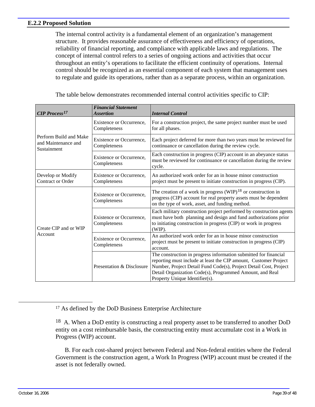#### <span id="page-40-0"></span>**E.2.2 Proposed Solution**

The internal control activity is a fundamental element of an organization's management structure. It provides reasonable assurance of effectiveness and efficiency of operations, reliability of financial reporting, and compliance with applicable laws and regulations. The concept of internal control refers to a series of ongoing actions and activities that occur throughout an entity's operations to facilitate the efficient continuity of operations. Internal control should be recognized as an essential component of each system that management uses to regulate and guide its operations, rather than as a separate process, within an organization.

| <b>CIP</b> Process <sup>17</sup>                             | <b>Financial Statement</b><br><b>Assertion</b> | <b>Internal Control</b>                                                                                                                                                                                                                                                                                 |  |  |
|--------------------------------------------------------------|------------------------------------------------|---------------------------------------------------------------------------------------------------------------------------------------------------------------------------------------------------------------------------------------------------------------------------------------------------------|--|--|
|                                                              | Existence or Occurrence,<br>Completeness       | For a construction project, the same project number must be used<br>for all phases.                                                                                                                                                                                                                     |  |  |
| Perform Build and Make<br>and Maintenance and<br>Sustainment | Existence or Occurrence,<br>Completeness       | Each project deferred for more than two years must be reviewed for<br>continuance or cancellation during the review cycle.                                                                                                                                                                              |  |  |
|                                                              | Existence or Occurrence,<br>Completeness       | Each construction in progress (CIP) account in an abeyance status<br>must be reviewed for continuance or cancellation during the review<br>cycle.                                                                                                                                                       |  |  |
| Develop or Modify<br><b>Contract or Order</b>                | Existence or Occurrence,<br>Completeness       | An authorized work order for an in house minor construction<br>project must be present to initiate construction in progress (CIP).                                                                                                                                                                      |  |  |
|                                                              | Existence or Occurrence,<br>Completeness       | The creation of a work in progress (WIP) <sup>18</sup> or construction in<br>progress (CIP) account for real property assets must be dependent<br>on the type of work, asset, and funding method.                                                                                                       |  |  |
| Create CIP and or WIP<br>Account                             | Existence or Occurrence,<br>Completeness       | Each military construction project performed by construction agents<br>must have both planning and design and fund authorizations prior<br>to initiating construction in progress (CIP) or work in progress<br>(WIP).                                                                                   |  |  |
|                                                              | Existence or Occurrence,<br>Completeness       | An authorized work order for an in house minor construction<br>project must be present to initiate construction in progress (CIP)<br>account.                                                                                                                                                           |  |  |
|                                                              | Presentation & Disclosure                      | The construction in progress information submitted for financial<br>reporting must include at least the CIP amount, Customer Project<br>Number, Project Detail Fund Code(s), Project Detail Cost, Project<br>Detail Organization Code(s), Programmed Amount, and Real<br>Property Unique Identifier(s). |  |  |

The table below demonstrates recommended internal control activities specific to CIP:

 B. For each cost-shared project between Federal and Non-federal entities where the Federal Government is the construction agent, a Work In Progress (WIP) account must be created if the asset is not federally owned.

<sup>17</sup> As defined by the DoD Business Enterprise Architecture

<sup>&</sup>lt;sup>18</sup> A. When a DoD entity is constructing a real property asset to be transferred to another DoD entity on a cost reimbursable basis, the constructing entity must accumulate cost in a Work in Progress (WIP) account.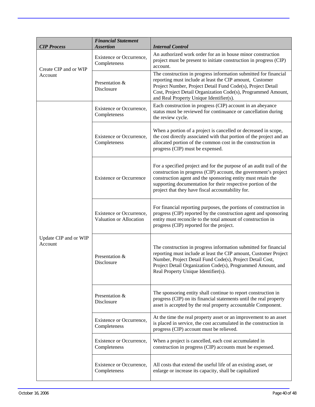| <b>CIP Process</b>               | <b>Financial Statement</b><br><b>Assertion</b>      | <b>Internal Control</b>                                                                                                                                                                                                                                                                                                       |  |  |  |
|----------------------------------|-----------------------------------------------------|-------------------------------------------------------------------------------------------------------------------------------------------------------------------------------------------------------------------------------------------------------------------------------------------------------------------------------|--|--|--|
| Create CIP and or WIP            | Existence or Occurrence,<br>Completeness            | An authorized work order for an in house minor construction<br>project must be present to initiate construction in progress (CIP)<br>account.                                                                                                                                                                                 |  |  |  |
| Account                          | Presentation &<br>Disclosure                        | The construction in progress information submitted for financial<br>reporting must include at least the CIP amount, Customer<br>Project Number, Project Detail Fund Code(s), Project Detail<br>Cost, Project Detail Organization Code(s), Programmed Amount,<br>and Real Property Unique Identifier(s).                       |  |  |  |
|                                  | Existence or Occurrence,<br>Completeness            | Each construction in progress (CIP) account in an abeyance<br>status must be reviewed for continuance or cancellation during<br>the review cycle.                                                                                                                                                                             |  |  |  |
|                                  | Existence or Occurrence,<br>Completeness            | When a portion of a project is cancelled or decreased in scope,<br>the cost directly associated with that portion of the project and an<br>allocated portion of the common cost in the construction in<br>progress (CIP) must be expensed.                                                                                    |  |  |  |
|                                  | <b>Existence or Occurrence</b>                      | For a specified project and for the purpose of an audit trail of the<br>construction in progress (CIP) account, the government's project<br>construction agent and the sponsoring entity must retain the<br>supporting documentation for their respective portion of the<br>project that they have fiscal accountability for. |  |  |  |
|                                  | Existence or Occurrence,<br>Valuation or Allocation | For financial reporting purposes, the portions of construction in<br>progress (CIP) reported by the construction agent and sponsoring<br>entity must reconcile to the total amount of construction in<br>progress (CIP) reported for the project.                                                                             |  |  |  |
| Update CIP and or WIP<br>Account | Presentation &<br>Disclosure                        | The construction in progress information submitted for financial<br>reporting must include at least the CIP amount, Customer Project<br>Number, Project Detail Fund Code(s), Project Detail Cost,<br>Project Detail Organization Code(s), Programmed Amount, and<br>Real Property Unique Identifier(s).                       |  |  |  |
|                                  | Presentation &<br>Disclosure                        | The sponsoring entity shall continue to report construction in<br>progress (CIP) on its financial statements until the real property<br>asset is accepted by the real property accountable Component.                                                                                                                         |  |  |  |
|                                  | Existence or Occurrence,<br>Completeness            | At the time the real property asset or an improvement to an asset<br>is placed in service, the cost accumulated in the construction in<br>progress (CIP) account must be relieved.                                                                                                                                            |  |  |  |
|                                  | Existence or Occurrence,<br>Completeness            | When a project is cancelled, each cost accumulated in<br>construction in progress (CIP) accounts must be expensed.                                                                                                                                                                                                            |  |  |  |
|                                  | Existence or Occurrence,<br>Completeness            | All costs that extend the useful life of an existing asset, or<br>enlarge or increase its capacity, shall be capitalized                                                                                                                                                                                                      |  |  |  |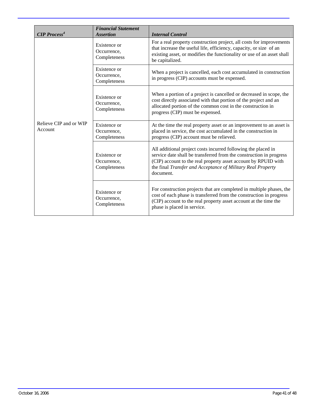| <b>CIP Process<sup>4</sup></b>    | <b>Financial Statement</b><br><b>Assertion</b> | <b>Internal Control</b>                                                                                                                                                                                                                                                            |  |  |
|-----------------------------------|------------------------------------------------|------------------------------------------------------------------------------------------------------------------------------------------------------------------------------------------------------------------------------------------------------------------------------------|--|--|
| Relieve CIP and or WIP<br>Account | Existence or<br>Occurrence,<br>Completeness    | For a real property construction project, all costs for improvements<br>that increase the useful life, efficiency, capacity, or size of an<br>existing asset, or modifies the functionality or use of an asset shall<br>be capitalized.                                            |  |  |
|                                   | Existence or<br>Occurrence,<br>Completeness    | When a project is cancelled, each cost accumulated in construction<br>in progress (CIP) accounts must be expensed.                                                                                                                                                                 |  |  |
|                                   | Existence or<br>Occurrence.<br>Completeness    | When a portion of a project is cancelled or decreased in scope, the<br>cost directly associated with that portion of the project and an<br>allocated portion of the common cost in the construction in<br>progress (CIP) must be expensed.                                         |  |  |
|                                   | Existence or<br>Occurrence,<br>Completeness    | At the time the real property asset or an improvement to an asset is<br>placed in service, the cost accumulated in the construction in<br>progress (CIP) account must be relieved.                                                                                                 |  |  |
|                                   | Existence or<br>Occurrence,<br>Completeness    | All additional project costs incurred following the placed in<br>service date shall be transferred from the construction in progress<br>(CIP) account to the real property asset account by RPUID with<br>the final Transfer and Acceptance of Military Real Property<br>document. |  |  |
|                                   | Existence or<br>Occurrence,<br>Completeness    | For construction projects that are completed in multiple phases, the<br>cost of each phase is transferred from the construction in progress<br>(CIP) account to the real property asset account at the time the<br>phase is placed in service.                                     |  |  |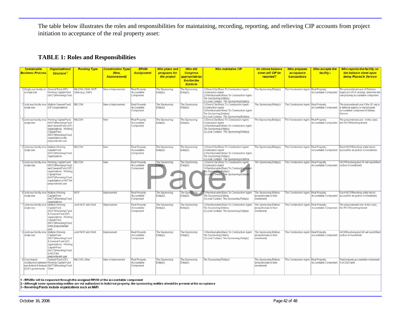The table below illustrates the roles and responsibilities for maintaining, recording, reporting, and relieving CIP accounts from project initiation to acceptance of the real property asset:

#### **TABLE 1: Roles and Responsibilities**

| <b>Sustainable</b><br><b>Business Process</b>                 | <b>Organizational</b><br><b>Structure</b>                                                                                                                                                                             | <b>Funding Type</b>                    | <b>Construction Type</b><br>(New.<br><i><b>Improvement</b></i> | <b>RPUID</b><br><b>Assignment</b>                 | Who plans and<br>programs for<br>the project | <b>Who did</b><br><b>Congress</b><br>appropriate/au<br>thorize the<br>funds to | <b>Who maintains CIP</b>                                                                                                                                                                   | On whose balance<br>sheet will CIP be<br>reported?                | <b>Who prepares</b><br>acceptance<br>transactions | Who accepts the<br>facility <sub>2</sub>     | Who reports the facility on<br>the balance sheet upon<br><b>being Placed In Service</b>                                    |
|---------------------------------------------------------------|-----------------------------------------------------------------------------------------------------------------------------------------------------------------------------------------------------------------------|----------------------------------------|----------------------------------------------------------------|---------------------------------------------------|----------------------------------------------|--------------------------------------------------------------------------------|--------------------------------------------------------------------------------------------------------------------------------------------------------------------------------------------|-------------------------------------------------------------------|---------------------------------------------------|----------------------------------------------|----------------------------------------------------------------------------------------------------------------------------|
| 1 Single use facility on General Fund (GF),<br>a single site. | Norking Capital Fund<br>(WCF)/Revolving Fund                                                                                                                                                                          | MILCON, O&M, WCF,<br>Other (e.g., NAF) | New or Improvement                                             | <b>Real Property</b><br>Accountable<br>Component. | The Sponsoring<br>Entity(s)                  | The Sponsoning<br>Entity(s)                                                    | 1) Direct Cite Basis To Construction Agent.<br>Construction Agent<br>2) Reimbursable Basis To Construction Agent<br>The Sponsonna Entity(s)<br>3) Local Contract The Sponsoring Entity(s)  | The Sponsoring Entity(s)                                          | The Construction Agent Real Property              | Accountable Component                        | he preponderant user (if Defense<br>Agency or WCF activity), otherwise the<br>real property accountable component.         |
| single site                                                   | 2 Joint use facility on a Multiple General Fund<br>(GF) organizations.                                                                                                                                                | MILCON                                 | New or Improvement                                             | Real Property<br>Accountable<br>Component         | The Sponsonna<br>Entity(s)                   | The Sponsoring<br>Entity(s)                                                    | 1) Direct Cite Basis To Construction Agent.<br>Construction Agent<br>2) Reimbursable Basis To Construction Agent:<br>The Sponsonna Entity(s)<br>3) Local Contract The Sponsoring Entity(s) | The Sponsoring Entity(s)                                          | The Construction Agent Real Property              | Accountable Component                        | he preponderant user if the GF org is<br>a defense agency or real property<br>accountable component if Military<br>Service |
| single site                                                   | 3 Joint use facility on a Working Capital Fund MILCON<br>(WCF)/Revolving Fund<br>and General Fund (GF)<br>organizations. Working<br>Capital Fund<br>WCF)/Revolving Fund<br>organization is the<br>preponderant user   |                                        | New                                                            | Real Property<br>Accountable<br>Component         | The Sponsoring<br>Entity(s)                  | The Sponsoring<br>Entity(s)                                                    | 1) Direct Cite Basis To Construction Agent<br>Construction Agent<br>2) Reimbursable Basis To Construction Agent<br>The Sponsoring Entity(s)<br>3) Local Contract The Sponsoring Entity(s)  | The Spensoning Entity(s)                                          | The Construction Agent Real Property              |                                              | The preponderant user. In this case,<br>Accountable Component   the WCF/Revolving tenant                                   |
| 4 Joint use facility on a Multiple Working<br>single site     | Capital Fund<br>WCF)/Revolving Fund<br>proanizations                                                                                                                                                                  | MILCON                                 | New                                                            | Real Property<br>Accountable<br>Component         | The Sponsoring<br>Entity(s)                  | The Sponsoring<br>Entity(s)                                                    | 1) Direct Cite Basis To Construction Agent<br>Construction Agent<br>2) Reimbursable Basis To Construction Agent:<br>The Sponsonng Entity(s)<br>3) Local Contract The Sponsoring Entity(s)  | The Sponsoring Entity(s)                                          | The Construction Agent                            | Real Property<br>Accountable Component       | Each WCF/Revolving entity has to<br>account for its portion of investment.                                                 |
| single site                                                   | 5 Joint use facility on a Working Capital Fund MILCON<br>WCFVRevolving Fund<br>and General Fund (GF)<br>organizations. Working<br>Capital Fund<br>WCF)/Revolving Fund<br>organization is NOT the<br>preponderant user |                                        | New                                                            | Real Property<br>Accountable<br>Component         | The Sponsoring                               | The Sponsoning<br>Entity(s)                                                    | 1) Direct Cite Basis To Construction Agent.<br>Construction Agent<br>2) Reimbursable Basis To Construction Agent<br>The Sponsoning Entity(s)<br>Local Contract The Sponsoring Entity(s)    | The Sponsoring Entity(s)                                          | The Construction Agent Real Property              | Accountable Component                        | WCF/Revolving and GF will report their<br>portion of investment                                                            |
| 6 Joint use facility on a Multiple Working<br>single site     | apital Fund<br>(WCF)/Revolving Fund<br>organizations                                                                                                                                                                  | WCF                                    | Improvement                                                    | Real Property<br>Accountable<br>Component         | The Sponsoring<br>Entity(s)                  | The Sportsbang<br>Entity(s)                                                    | Reimbursable Basis To Construction Agent<br>he Sponsonng Entities<br>2) Local Contract The Sponsoring Entity(s)                                                                            | The Sponsoring Entities<br>(proportionate to their<br>investment) | The Construction Agent Real Property              | Accountable Component                        | Each WCF/Revolving entity has to<br>account for its portion of investment.                                                 |
| 7 Joint use facility on a Multiple Working<br>single site     | Capital Fund<br>WCF1/Revolving Fund<br>& General Fund (GF)<br>organizations. Working<br>Capital Fund<br>WCF)/Revolving Fund<br>is the preponderant<br>user.                                                           | Joint WCF and O&M                      | mprovement                                                     | Real Property<br>Accountable<br>Component         | The Sponsoring<br>Entity(s)                  | The Sponsoring<br>Entity(s)                                                    | 1) Reimbursable Basis To Construction Agent<br>The Sponsoning Entities<br>2) Local Contract: The Sponsoring Entity(s)                                                                      | The Sponsoring Entities<br>(proportionate to their<br>investment) | he Construction Agent Real Property               | Accountable Component                        | The preponderant user. In this case,<br>the WCF/Revolving tenant                                                           |
| 8 Joint use facility on a Multiple Working<br>single site     | Capital Fund<br>(WCF)/Revolving Fund<br>& General Fund (GF)<br>brganizations. Working<br>Capital Fund<br>(WCF)/Revolving Fund<br>is NOT the<br>preponderant user                                                      | Joint WCF and O&M                      | mprovement                                                     | Real Property<br>Accountable<br>Component         | The Sponsoring<br>Entity(s)                  | The Sponsoring<br>Entity(s)                                                    | 1) Reimbursable Basis To Construction Agent<br>The Sponsonna Entities<br>2) Local Contract: The Sponsoring Entity(s)                                                                       | The Sponsoring Entities<br>(proportionate to their<br>(treatment) | The Construction Agent Real Property              | Accountable Component portion of investment. | WCF/Revolving and GF will report their                                                                                     |
| 9 Cost shared<br>(DoD) governments Other                      | General Fund (GF).<br>construction between Working Capital Fund<br>non-federal & federal (WCF)/Revolving Fund,                                                                                                        | MILCON, Other                          | New or improvement                                             | Real Property<br>Accountable<br>Component         | The Sponsoring<br>Entity(s)                  | The Sponsoring<br>Entity(s)                                                    | The Sponsoning Entity(s)                                                                                                                                                                   | The Sponsoring Entities<br>(proportionate to their<br>investment) | The Construction Agent Real Property              | Accountable Component if on DoD land         | Real property accountable component                                                                                        |

1 - RPUIDs will be requested through the assigned RPAO of the accountable component

2 - Although some sponsoring entities are not authorized to hold real property, the sponsoring entities should be present at the acceptance

3 - Revolving Funds include organizations such as NAFI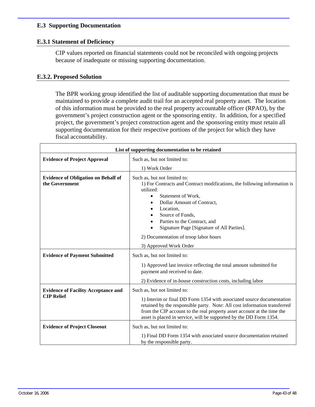#### <span id="page-44-0"></span>**E.3 Supporting Documentation**

#### **E.3.1 Statement of Deficiency**

CIP values reported on financial statements could not be reconciled with ongoing projects because of inadequate or missing supporting documentation.

#### **E.3.2. Proposed Solution**

The BPR working group identified the list of auditable supporting documentation that must be maintained to provide a complete audit trail for an accepted real property asset. The location of this information must be provided to the real property accountable officer (RPAO), by the government's project construction agent or the sponsoring entity. In addition, for a specified project, the government's project construction agent and the sponsoring entity must retain all supporting documentation for their respective portions of the project for which they have fiscal accountability.

| List of supporting documentation to be retained                 |                                                                                                                                                                                                                                                                                                                                     |  |  |
|-----------------------------------------------------------------|-------------------------------------------------------------------------------------------------------------------------------------------------------------------------------------------------------------------------------------------------------------------------------------------------------------------------------------|--|--|
| <b>Evidence of Project Approval</b>                             | Such as, but not limited to:                                                                                                                                                                                                                                                                                                        |  |  |
|                                                                 | 1) Work Order                                                                                                                                                                                                                                                                                                                       |  |  |
| <b>Evidence of Obligation on Behalf of</b><br>the Government    | Such as, but not limited to:<br>1) For Contracts and Contract modifications, the following information is<br>utilized:<br>Statement of Work,<br>Dollar Amount of Contract,<br>Location,<br>Source of Funds,<br>Parties to the Contract, and<br>Signature Page [Signature of All Parties].                                           |  |  |
|                                                                 | 2) Documentation of troop labor hours                                                                                                                                                                                                                                                                                               |  |  |
|                                                                 | 3) Approved Work Order                                                                                                                                                                                                                                                                                                              |  |  |
| <b>Evidence of Payment Submitted</b>                            | Such as, but not limited to:                                                                                                                                                                                                                                                                                                        |  |  |
|                                                                 | 1) Approved last invoice reflecting the total amount submitted for<br>payment and received to date.                                                                                                                                                                                                                                 |  |  |
|                                                                 | 2) Evidence of in-house construction costs, including labor                                                                                                                                                                                                                                                                         |  |  |
| <b>Evidence of Facility Acceptance and</b><br><b>CIP Relief</b> | Such as, but not limited to:<br>1) Interim or final DD Form 1354 with associated source documentation<br>retained by the responsible party. Note: All cost information transferred<br>from the CIP account to the real property asset account at the time the<br>asset is placed in service, will be supported by the DD Form 1354. |  |  |
| <b>Evidence of Project Closeout</b>                             | Such as, but not limited to:<br>1) Final DD Form 1354 with associated source documentation retained<br>by the responsible party.                                                                                                                                                                                                    |  |  |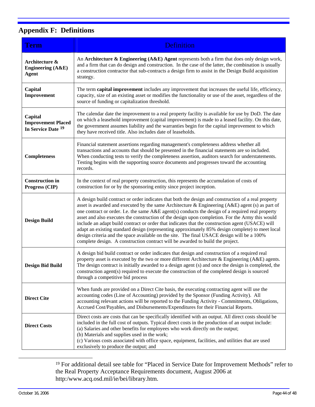## <span id="page-45-0"></span>**Appendix F: Definitions**

| <b>Term</b>                                                           | <b>Definition</b>                                                                                                                                                                                                                                                                                                                                                                                                                                                                                                                                                                                                                                                                                                                                                                                      |
|-----------------------------------------------------------------------|--------------------------------------------------------------------------------------------------------------------------------------------------------------------------------------------------------------------------------------------------------------------------------------------------------------------------------------------------------------------------------------------------------------------------------------------------------------------------------------------------------------------------------------------------------------------------------------------------------------------------------------------------------------------------------------------------------------------------------------------------------------------------------------------------------|
| Architecture &<br>Engineering (A&E)<br><b>Agent</b>                   | An Architecture & Engineering $(A \& E)$ Agent represents both a firm that does only design work,<br>and a firm that can do design and construction. In the case of the latter, the combination is usually<br>a construction contractor that sub-contracts a design firm to assist in the Design Build acquisition<br>strategy.                                                                                                                                                                                                                                                                                                                                                                                                                                                                        |
| Capital<br>Improvement                                                | The term capital improvement includes any improvement that increases the useful life, efficiency,<br>capacity, size of an existing asset or modifies the functionality or use of the asset, regardless of the<br>source of funding or capitalization threshold.                                                                                                                                                                                                                                                                                                                                                                                                                                                                                                                                        |
| Capital<br><b>Improvement Placed</b><br>In Service Date <sup>19</sup> | The calendar date the improvement to a real property facility is available for use by DoD. The date<br>on which a leasehold improvement (capital improvement) is made to a leased facility. On this date,<br>the government assumes liability and the warranties begin for the capital improvement to which<br>they have received title. Also includes date of leaseholds.                                                                                                                                                                                                                                                                                                                                                                                                                             |
| <b>Completeness</b>                                                   | Financial statement assertions regarding management's completeness address whether all<br>transactions and accounts that should be presented in the financial statements are so included.<br>When conducting tests to verify the completeness assertion, auditors search for understatements.<br>Testing begins with the supporting source documents and progresses toward the accounting<br>records.                                                                                                                                                                                                                                                                                                                                                                                                  |
| <b>Construction in</b><br>Progress (CIP)                              | In the context of real property construction, this represents the accumulation of costs of<br>construction for or by the sponsoring entity since project inception.                                                                                                                                                                                                                                                                                                                                                                                                                                                                                                                                                                                                                                    |
| <b>Design Build</b>                                                   | A design build contract or order indicates that both the design and construction of a real property<br>asset is awarded and executed by the same Architecture & Engineering (A&E) agent (s) as part of<br>one contract or order. I.e. the same A&E agent(s) conducts the design of a required real property<br>asset and also executes the construction of the design upon completion. For the Army this would<br>include an adapt build contract or order that indicates that the construction agent (USACE) will<br>adapt an existing standard design (representing approximately 85% design complete) to meet local<br>design criteria and the space available on the site. The final USACE design will be a 100%<br>complete design. A construction contract will be awarded to build the project. |
| <b>Design Bid Build</b>                                               | A design bid build contract or order indicates that design and construction of a required real<br>property asset is executed by the two or more different Architecture & Engineering (A&E) agents.<br>The design contract is initially awarded to a design agent (s) and once the design is completed, the<br>construction agent(s) required to execute the construction of the completed design is sourced<br>through a competitive bid process                                                                                                                                                                                                                                                                                                                                                       |
| <b>Direct Cite</b>                                                    | When funds are provided on a Direct Cite basis, the executing contracting agent will use the<br>accounting codes (Line of Accounting) provided by the Sponsor (Funding Activity). All<br>accounting relevant actions will be reported to the Funding Activity - Commitments, Obligations,<br>Accrued Cost/Payables, and Disbursements/Expenditures for their Financial Reports.                                                                                                                                                                                                                                                                                                                                                                                                                        |
| <b>Direct Costs</b>                                                   | Direct costs are costs that can be specifically identified with an output. All direct costs should be<br>included in the full cost of outputs. Typical direct costs in the production of an output include:<br>(a) Salaries and other benefits for employees who work directly on the output;<br>(b) Materials and supplies used in the work;<br>(c) Various costs associated with office space, equipment, facilities, and utilities that are used<br>exclusively to produce the output; and                                                                                                                                                                                                                                                                                                          |

<sup>19</sup> For additional detail see table for "Placed in Service Date for Improvement Methods" refer to the Real Property Acceptance Requirements document, August 2006 at http:/www.acq.osd.mil/ie/bei/library.htm.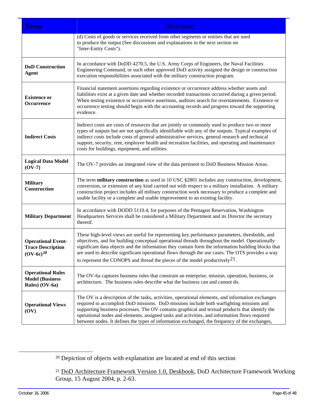<span id="page-46-0"></span>

| Term                                                                    | <b>Definition</b>                                                                                                                                                                                                                                                                                                                                                                                                                                                                                 |
|-------------------------------------------------------------------------|---------------------------------------------------------------------------------------------------------------------------------------------------------------------------------------------------------------------------------------------------------------------------------------------------------------------------------------------------------------------------------------------------------------------------------------------------------------------------------------------------|
|                                                                         | (d) Costs of goods or services received from other segments or entities that are used<br>to produce the output (See discussions and explanations in the next section on<br>"Inter-Entity Costs").                                                                                                                                                                                                                                                                                                 |
| <b>DoD</b> Construction<br><b>Agent</b>                                 | In accordance with DoDD 4270.5, the U.S. Army Corps of Engineers, the Naval Facilities<br>Engineering Command, or such other approved DoD activity assigned the design or construction<br>execution responsibilities associated with the military construction program.                                                                                                                                                                                                                           |
| <b>Existence or</b><br>Occurrence                                       | Financial statement assertions regarding existence or occurrence address whether assets and<br>liabilities exist at a given date and whether recorded transactions occurred during a given period.<br>When testing existence or occurrence assertions, auditors search for overstatements. Existence or<br>occurrence testing should begin with the accounting records and progress toward the supporting<br>evidence.                                                                            |
| <b>Indirect Costs</b>                                                   | Indirect costs are costs of resources that are jointly or commonly used to produce two or more<br>types of outputs but are not specifically identifiable with any of the outputs. Typical examples of<br>indirect costs include costs of general administrative services, general research and technical<br>support, security, rent, employee health and recreation facilities, and operating and maintenance<br>costs for buildings, equipment, and utilities.                                   |
| <b>Logical Data Model</b><br>$(OV-7)$                                   | The OV-7 provides an integrated view of the data pertinent to DoD Business Mission Areas.                                                                                                                                                                                                                                                                                                                                                                                                         |
| <b>Military</b><br>Construction                                         | The term military construction as used in 10 USC §2801 includes any construction, development,<br>conversion, or extension of any kind carried out with respect to a military installation. A military<br>construction project includes all military construction work necessary to produce a complete and<br>usable facility or a complete and usable improvement to an existing facility.                                                                                                       |
| <b>Military Department</b>                                              | In accordance with DODD 5110.4, for purposes of the Pentagon Reservation, Washington<br>Headquarters Services shall be considered a Military Department and its Director the secretary<br>thereof.                                                                                                                                                                                                                                                                                                |
| <b>Operational Event-</b><br><b>Trace Description</b><br>$(OV-6c)^{20}$ | These high-level views are useful for representing key performance parameters, thresholds, and<br>objectives, and for building conceptual operational threads throughout the model. Operationally<br>significant data objects and the information they contain form the information building blocks that<br>are used to describe significant operational flows through the use cases. The OTS provides a way<br>to represent the CONOPS and thread the pieces of the model productively $2^1$ .   |
| <b>Operational Rules</b><br><b>Model (Business)</b><br>Rules) $(OV-6a)$ | The OV-6a captures business rules that constrain an enterprise, mission, operation, business, or<br>architecture. The business rules describe what the business can and cannot do.                                                                                                                                                                                                                                                                                                                |
| <b>Operational Views</b><br>(OV)                                        | The OV is a description of the tasks, activities, operational elements, and information exchanges<br>required to accomplish DoD missions. DoD missions include both warfighting missions and<br>supporting business processes. The OV contains graphical and textual products that identify the<br>operational nodes and elements, assigned tasks and activities, and information flows required<br>between nodes. It defines the types of information exchanged, the frequency of the exchanges, |

20 Depiction of objects with explanation are located at end of this section

<sup>&</sup>lt;sup>21</sup> DoD Architecture Framework Version 1.0, Deskbook, DoD Architecture Framework Working Group, 15 August 2004, p. 2-63.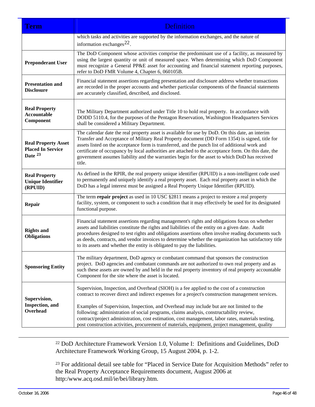<span id="page-47-0"></span>

| <b>Term</b>                                                       | Definition                                                                                                                                                                                                                                                                                                                                                                                                                                                                                                                                                                                       |
|-------------------------------------------------------------------|--------------------------------------------------------------------------------------------------------------------------------------------------------------------------------------------------------------------------------------------------------------------------------------------------------------------------------------------------------------------------------------------------------------------------------------------------------------------------------------------------------------------------------------------------------------------------------------------------|
|                                                                   | which tasks and activities are supported by the information exchanges, and the nature of<br>information exchanges $^{22}$ .                                                                                                                                                                                                                                                                                                                                                                                                                                                                      |
| <b>Preponderant User</b>                                          | The DoD Component whose activities comprise the predominant use of a facility, as measured by<br>using the largest quantity or unit of measured space. When determining which DoD Component<br>must recognize a General PP&E asset for accounting and financial statement reporting purposes,<br>refer to DoD FMR Volume 4, Chapter 6, 060105B.                                                                                                                                                                                                                                                  |
| <b>Presentation and</b><br><b>Disclosure</b>                      | Financial statement assertions regarding presentation and disclosure address whether transactions<br>are recorded in the proper accounts and whether particular components of the financial statements<br>are accurately classified, described, and disclosed.                                                                                                                                                                                                                                                                                                                                   |
| <b>Real Property</b><br>Accountable<br>Component                  | The Military Department authorized under Title 10 to hold real property. In accordance with<br>DODD 5110.4, for the purposes of the Pentagon Reservation, Washington Headquarters Services<br>shall be considered a Military Department.                                                                                                                                                                                                                                                                                                                                                         |
| <b>Real Property Asset</b><br><b>Placed In Service</b><br>Date 23 | The calendar date the real property asset is available for use by DoD. On this date, an interim<br>Transfer and Acceptance of Military Real Property document (DD Form 1354) is signed, title for<br>assets listed on the acceptance form is transferred, and the punch list of additional work and<br>certificate of occupancy by local authorities are attached to the acceptance form. On this date, the<br>government assumes liability and the warranties begin for the asset to which DoD has received<br>title.                                                                           |
| <b>Real Property</b><br><b>Unique Identifier</b><br>(RPUID)       | As defined in the RPIR, the real property unique identifier (RPUID) is a non-intelligent code used<br>to permanently and uniquely identify a real property asset. Each real property asset in which the<br>DoD has a legal interest must be assigned a Real Property Unique Identifier (RPUID).                                                                                                                                                                                                                                                                                                  |
| Repair                                                            | The term repair project as used in 10 USC §2811 means a project to restore a real property<br>facility, system, or component to such a condition that it may effectively be used for its designated<br>functional purpose.                                                                                                                                                                                                                                                                                                                                                                       |
| <b>Rights and</b><br><b>Obligations</b>                           | Financial statement assertions regarding management's rights and obligations focus on whether<br>assets and liabilities constitute the rights and liabilities of the entity on a given date. Audit<br>procedures designed to test rights and obligations assertions often involve reading documents such<br>as deeds, contracts, and vendor invoices to determine whether the organization has satisfactory title<br>to its assets and whether the entity is obligated to pay the liabilities.                                                                                                   |
| <b>Sponsoring Entity</b>                                          | The military department, DoD agency or combatant command that sponsors the construction<br>project. DoD agencies and combatant commands are not authorized to own real property and as<br>such these assets are owned by and held in the real property inventory of real property accountable<br>Component for the site where the asset is located.                                                                                                                                                                                                                                              |
| Supervision,<br>Inspection, and<br>Overhead                       | Supervision, Inspection, and Overhead (SIOH) is a fee applied to the cost of a construction<br>contract to recover direct and indirect expenses for a project's construction management services.<br>Examples of Supervision, Inspection, and Overhead may include but are not limited to the<br>following: administration of social programs, claims analysis, constructability review,<br>contract/project administration, cost estimation, cost management, labor rates, materials testing,<br>post construction activities, procurement of materials, equipment, project management, quality |

22 DoD Architecture Framework Version 1.0, Volume I: Definitions and Guidelines, DoD Architecture Framework Working Group, 15 August 2004, p. 1-2.

<sup>23</sup> For additional detail see table for "Placed in Service Date for Acquisition Methods" refer to the Real Property Acceptance Requirements document, August 2006 at http:/www.acq.osd.mil/ie/bei/library.htm.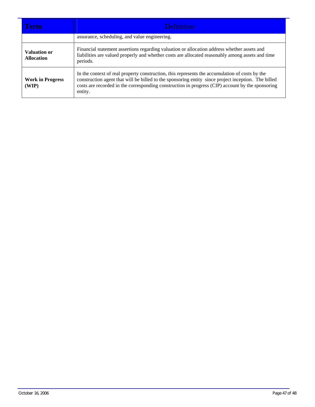| Term                                     | <b>Definition</b>                                                                                                                                                                                                                                                                                                    |  |  |
|------------------------------------------|----------------------------------------------------------------------------------------------------------------------------------------------------------------------------------------------------------------------------------------------------------------------------------------------------------------------|--|--|
|                                          | assurance, scheduling, and value engineering.                                                                                                                                                                                                                                                                        |  |  |
| <b>Valuation or</b><br><b>Allocation</b> | Financial statement assertions regarding valuation or allocation address whether assets and<br>liabilities are valued properly and whether costs are allocated reasonably among assets and time<br>periods.                                                                                                          |  |  |
| <b>Work in Progress</b><br>(WIP)         | In the context of real property construction, this represents the accumulation of costs by the<br>construction agent that will be billed to the sponsoring entity since project inception. The billed<br>costs are recorded in the corresponding construction in progress (CIP) account by the sponsoring<br>entity. |  |  |